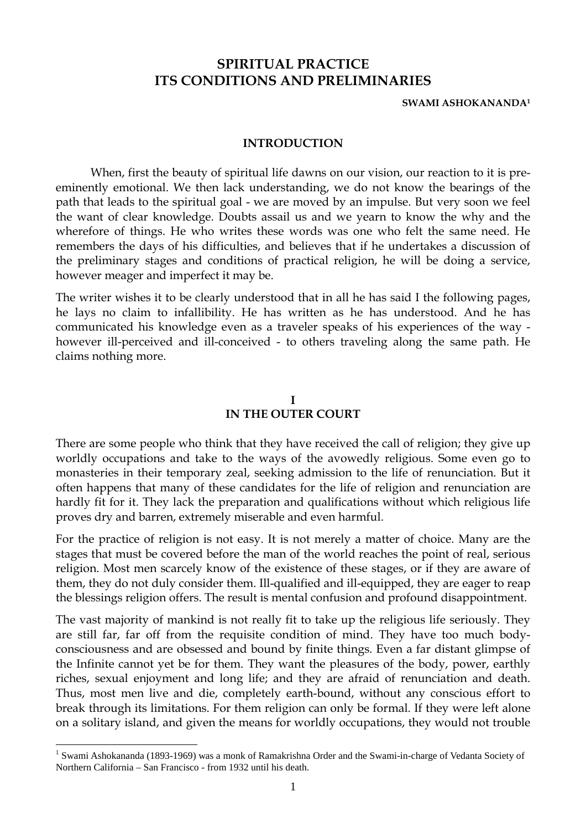# **SPIRITUAL PRACTICE ITS CONDITIONS AND PRELIMINARIES**

**SWAMI ASHOKANANDA<sup>1</sup>**

#### **INTRODUCTION**

When, first the beauty of spiritual life dawns on our vision, our reaction to it is preeminently emotional. We then lack understanding, we do not know the bearings of the path that leads to the spiritual goal - we are moved by an impulse. But very soon we feel the want of clear knowledge. Doubts assail us and we yearn to know the why and the wherefore of things. He who writes these words was one who felt the same need. He remembers the days of his difficulties, and believes that if he undertakes a discussion of the preliminary stages and conditions of practical religion, he will be doing a service, however meager and imperfect it may be.

The writer wishes it to be clearly understood that in all he has said I the following pages, he lays no claim to infallibility. He has written as he has understood. And he has communicated his knowledge even as a traveler speaks of his experiences of the way however ill-perceived and ill-conceived - to others traveling along the same path. He claims nothing more.

#### **I**

### **IN THE OUTER COURT**

There are some people who think that they have received the call of religion; they give up worldly occupations and take to the ways of the avowedly religious. Some even go to monasteries in their temporary zeal, seeking admission to the life of renunciation. But it often happens that many of these candidates for the life of religion and renunciation are hardly fit for it. They lack the preparation and qualifications without which religious life proves dry and barren, extremely miserable and even harmful.

For the practice of religion is not easy. It is not merely a matter of choice. Many are the stages that must be covered before the man of the world reaches the point of real, serious religion. Most men scarcely know of the existence of these stages, or if they are aware of them, they do not duly consider them. Ill-qualified and ill-equipped, they are eager to reap the blessings religion offers. The result is mental confusion and profound disappointment.

The vast majority of mankind is not really fit to take up the religious life seriously. They are still far, far off from the requisite condition of mind. They have too much bodyconsciousness and are obsessed and bound by finite things. Even a far distant glimpse of the Infinite cannot yet be for them. They want the pleasures of the body, power, earthly riches, sexual enjoyment and long life; and they are afraid of renunciation and death. Thus, most men live and die, completely earth-bound, without any conscious effort to break through its limitations. For them religion can only be formal. If they were left alone on a solitary island, and given the means for worldly occupations, they would not trouble

<sup>&</sup>lt;sup>1</sup> Swami Ashokananda (1893-1969) was a monk of Ramakrishna Order and the Swami-in-charge of Vedanta Society of Northern California – San Francisco - from 1932 until his death.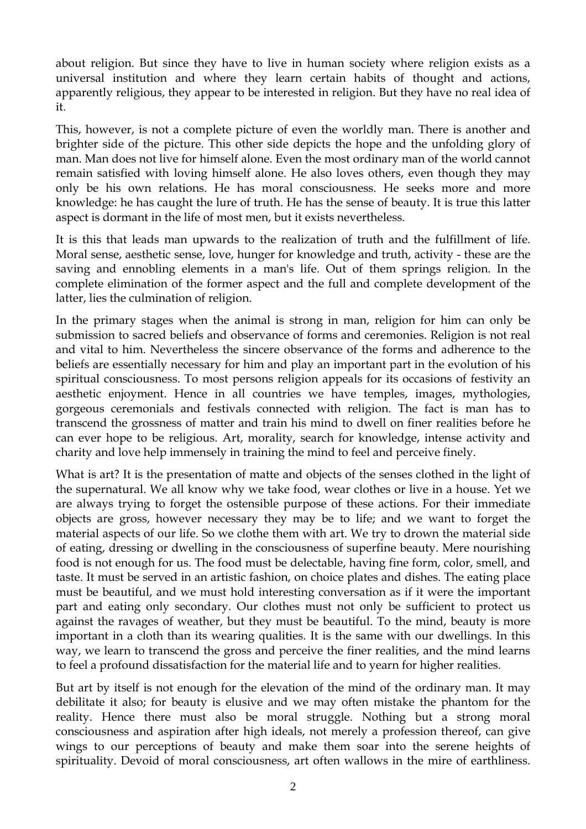about religion. But since they have to live in human society where religion exists as a universal institution and where they learn certain habits of thought and actions, apparently religious, they appear to be interested in religion. But they have no real idea of it.

This, however, is not a complete picture of even the worldly man. There is another and brighter side of the picture. This other side depicts the hope and the unfolding glory of man. Man does not live for himself alone. Even the most ordinary man of the world cannot remain satisfied with loving himself alone. He also loves others, even though they may only be his own relations. He has moral consciousness. He seeks more and more knowledge: he has caught the lure of truth. He has the sense of beauty. It is true this latter aspect is dormant in the life of most men, but it exists nevertheless.

It is this that leads man upwards to the realization of truth and the fulfillment of life. Moral sense, aesthetic sense, love, hunger for knowledge and truth, activity - these are the saving and ennobling elements in a man's life. Out of them springs religion. In the complete elimination of the former aspect and the full and complete development of the latter, lies the culmination of religion.

In the primary stages when the animal is strong in man, religion for him can only be submission to sacred beliefs and observance of forms and ceremonies. Religion is not real and vital to him. Nevertheless the sincere observance of the forms and adherence to the beliefs are essentially necessary for him and play an important part in the evolution of his spiritual consciousness. To most persons religion appeals for its occasions of festivity an aesthetic enjoyment. Hence in all countries we have temples, images, mythologies, gorgeous ceremonials and festivals connected with religion. The fact is man has to transcend the grossness of matter and train his mind to dwell on finer realities before he can ever hope to be religious. Art, morality, search for knowledge, intense activity and charity and love help immensely in training the mind to feel and perceive finely.

What is art? It is the presentation of matte and objects of the senses clothed in the light of the supernatural. We all know why we take food, wear clothes or live in a house. Yet we are always trying to forget the ostensible purpose of these actions. For their immediate objects are gross, however necessary they may be to life; and we want to forget the material aspects of our life. So we clothe them with art. We try to drown the material side of eating, dressing or dwelling in the consciousness of superfine beauty. Mere nourishing food is not enough for us. The food must be delectable, having fine form, color, smell, and taste. It must be served in an artistic fashion, on choice plates and dishes. The eating place must be beautiful, and we must hold interesting conversation as if it were the important part and eating only secondary. Our clothes must not only be sufficient to protect us against the ravages of weather, but they must be beautiful. To the mind, beauty is more important in a cloth than its wearing qualities. It is the same with our dwellings. In this way, we learn to transcend the gross and perceive the finer realities, and the mind learns to feel a profound dissatisfaction for the material life and to yearn for higher realities.

But art by itself is not enough for the elevation of the mind of the ordinary man. It may debilitate it also; for beauty is elusive and we may often mistake the phantom for the reality. Hence there must also be moral struggle. Nothing but a strong moral consciousness and aspiration after high ideals, not merely a profession thereof, can give wings to our perceptions of beauty and make them soar into the serene heights of spirituality. Devoid of moral consciousness, art often wallows in the mire of earthliness.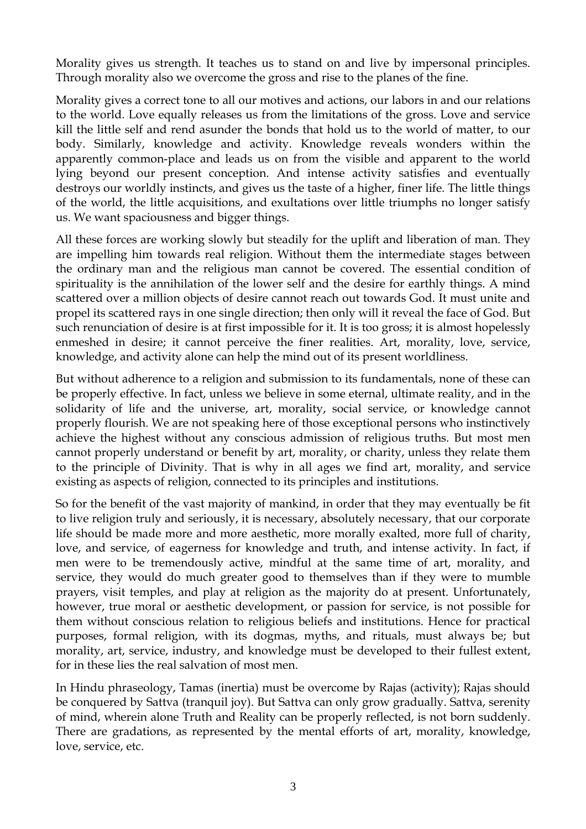Morality gives us strength. It teaches us to stand on and live by impersonal principles. Through morality also we overcome the gross and rise to the planes of the fine.

Morality gives a correct tone to all our motives and actions, our labors in and our relations to the world. Love equally releases us from the limitations of the gross. Love and service kill the little self and rend asunder the bonds that hold us to the world of matter, to our body. Similarly, knowledge and activity. Knowledge reveals wonders within the apparently common-place and leads us on from the visible and apparent to the world lying beyond our present conception. And intense activity satisfies and eventually destroys our worldly instincts, and gives us the taste of a higher, finer life. The little things of the world, the little acquisitions, and exultations over little triumphs no longer satisfy us. We want spaciousness and bigger things.

All these forces are working slowly but steadily for the uplift and liberation of man. They are impelling him towards real religion. Without them the intermediate stages between the ordinary man and the religious man cannot be covered. The essential condition of spirituality is the annihilation of the lower self and the desire for earthly things. A mind scattered over a million objects of desire cannot reach out towards God. It must unite and propel its scattered rays in one single direction; then only will it reveal the face of God. But such renunciation of desire is at first impossible for it. It is too gross; it is almost hopelessly enmeshed in desire; it cannot perceive the finer realities. Art, morality, love, service, knowledge, and activity alone can help the mind out of its present worldliness.

But without adherence to a religion and submission to its fundamentals, none of these can be properly effective. In fact, unless we believe in some eternal, ultimate reality, and in the solidarity of life and the universe, art, morality, social service, or knowledge cannot properly flourish. We are not speaking here of those exceptional persons who instinctively achieve the highest without any conscious admission of religious truths. But most men cannot properly understand or benefit by art, morality, or charity, unless they relate them to the principle of Divinity. That is why in all ages we find art, morality, and service existing as aspects of religion, connected to its principles and institutions.

So for the benefit of the vast majority of mankind, in order that they may eventually be fit to live religion truly and seriously, it is necessary, absolutely necessary, that our corporate life should be made more and more aesthetic, more morally exalted, more full of charity, love, and service, of eagerness for knowledge and truth, and intense activity. In fact, if men were to be tremendously active, mindful at the same time of art, morality, and service, they would do much greater good to themselves than if they were to mumble prayers, visit temples, and play at religion as the majority do at present. Unfortunately, however, true moral or aesthetic development, or passion for service, is not possible for them without conscious relation to religious beliefs and institutions. Hence for practical purposes, formal religion, with its dogmas, myths, and rituals, must always be; but morality, art, service, industry, and knowledge must be developed to their fullest extent, for in these lies the real salvation of most men.

In Hindu phraseology, Tamas (inertia) must be overcome by Rajas (activity); Rajas should be conquered by Sattva (tranquil joy). But Sattva can only grow gradually. Sattva, serenity of mind, wherein alone Truth and Reality can be properly reflected, is not born suddenly. There are gradations, as represented by the mental efforts of art, morality, knowledge, love, service, etc.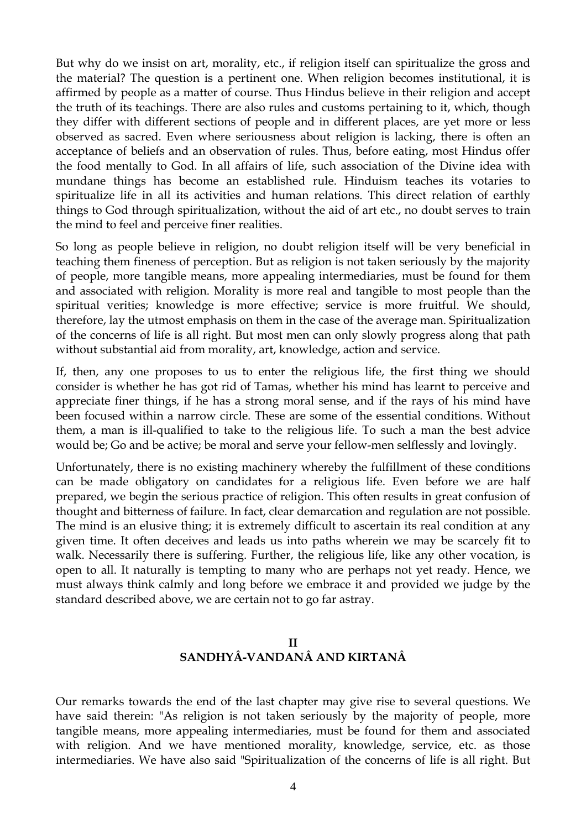But why do we insist on art, morality, etc., if religion itself can spiritualize the gross and the material? The question is a pertinent one. When religion becomes institutional, it is affirmed by people as a matter of course. Thus Hindus believe in their religion and accept the truth of its teachings. There are also rules and customs pertaining to it, which, though they differ with different sections of people and in different places, are yet more or less observed as sacred. Even where seriousness about religion is lacking, there is often an acceptance of beliefs and an observation of rules. Thus, before eating, most Hindus offer the food mentally to God. In all affairs of life, such association of the Divine idea with mundane things has become an established rule. Hinduism teaches its votaries to spiritualize life in all its activities and human relations. This direct relation of earthly things to God through spiritualization, without the aid of art etc., no doubt serves to train the mind to feel and perceive finer realities.

So long as people believe in religion, no doubt religion itself will be very beneficial in teaching them fineness of perception. But as religion is not taken seriously by the majority of people, more tangible means, more appealing intermediaries, must be found for them and associated with religion. Morality is more real and tangible to most people than the spiritual verities; knowledge is more effective; service is more fruitful. We should, therefore, lay the utmost emphasis on them in the case of the average man. Spiritualization of the concerns of life is all right. But most men can only slowly progress along that path without substantial aid from morality, art, knowledge, action and service.

If, then, any one proposes to us to enter the religious life, the first thing we should consider is whether he has got rid of Tamas, whether his mind has learnt to perceive and appreciate finer things, if he has a strong moral sense, and if the rays of his mind have been focused within a narrow circle. These are some of the essential conditions. Without them, a man is ill-qualified to take to the religious life. To such a man the best advice would be; Go and be active; be moral and serve your fellow-men selflessly and lovingly.

Unfortunately, there is no existing machinery whereby the fulfillment of these conditions can be made obligatory on candidates for a religious life. Even before we are half prepared, we begin the serious practice of religion. This often results in great confusion of thought and bitterness of failure. In fact, clear demarcation and regulation are not possible. The mind is an elusive thing; it is extremely difficult to ascertain its real condition at any given time. It often deceives and leads us into paths wherein we may be scarcely fit to walk. Necessarily there is suffering. Further, the religious life, like any other vocation, is open to all. It naturally is tempting to many who are perhaps not yet ready. Hence, we must always think calmly and long before we embrace it and provided we judge by the standard described above, we are certain not to go far astray.

# **II SANDHYÂ-VANDANÂ AND KIRTANÂ**

Our remarks towards the end of the last chapter may give rise to several questions. We have said therein: "As religion is not taken seriously by the majority of people, more tangible means, more appealing intermediaries, must be found for them and associated with religion. And we have mentioned morality, knowledge, service, etc. as those intermediaries. We have also said "Spiritualization of the concerns of life is all right. But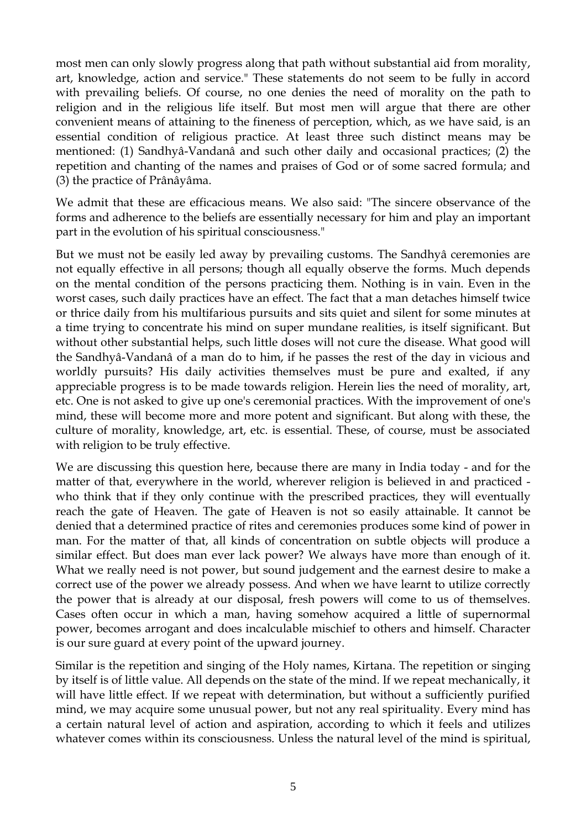most men can only slowly progress along that path without substantial aid from morality, art, knowledge, action and service." These statements do not seem to be fully in accord with prevailing beliefs. Of course, no one denies the need of morality on the path to religion and in the religious life itself. But most men will argue that there are other convenient means of attaining to the fineness of perception, which, as we have said, is an essential condition of religious practice. At least three such distinct means may be mentioned: (1) Sandhyâ-Vandanâ and such other daily and occasional practices; (2) the repetition and chanting of the names and praises of God or of some sacred formula; and (3) the practice of Prânâyâma.

We admit that these are efficacious means. We also said: "The sincere observance of the forms and adherence to the beliefs are essentially necessary for him and play an important part in the evolution of his spiritual consciousness."

But we must not be easily led away by prevailing customs. The Sandhyâ ceremonies are not equally effective in all persons; though all equally observe the forms. Much depends on the mental condition of the persons practicing them. Nothing is in vain. Even in the worst cases, such daily practices have an effect. The fact that a man detaches himself twice or thrice daily from his multifarious pursuits and sits quiet and silent for some minutes at a time trying to concentrate his mind on super mundane realities, is itself significant. But without other substantial helps, such little doses will not cure the disease. What good will the Sandhyâ-Vandanâ of a man do to him, if he passes the rest of the day in vicious and worldly pursuits? His daily activities themselves must be pure and exalted, if any appreciable progress is to be made towards religion. Herein lies the need of morality, art, etc. One is not asked to give up one's ceremonial practices. With the improvement of one's mind, these will become more and more potent and significant. But along with these, the culture of morality, knowledge, art, etc. is essential. These, of course, must be associated with religion to be truly effective.

We are discussing this question here, because there are many in India today - and for the matter of that, everywhere in the world, wherever religion is believed in and practiced who think that if they only continue with the prescribed practices, they will eventually reach the gate of Heaven. The gate of Heaven is not so easily attainable. It cannot be denied that a determined practice of rites and ceremonies produces some kind of power in man. For the matter of that, all kinds of concentration on subtle objects will produce a similar effect. But does man ever lack power? We always have more than enough of it. What we really need is not power, but sound judgement and the earnest desire to make a correct use of the power we already possess. And when we have learnt to utilize correctly the power that is already at our disposal, fresh powers will come to us of themselves. Cases often occur in which a man, having somehow acquired a little of supernormal power, becomes arrogant and does incalculable mischief to others and himself. Character is our sure guard at every point of the upward journey.

Similar is the repetition and singing of the Holy names, Kirtana. The repetition or singing by itself is of little value. All depends on the state of the mind. If we repeat mechanically, it will have little effect. If we repeat with determination, but without a sufficiently purified mind, we may acquire some unusual power, but not any real spirituality. Every mind has a certain natural level of action and aspiration, according to which it feels and utilizes whatever comes within its consciousness. Unless the natural level of the mind is spiritual,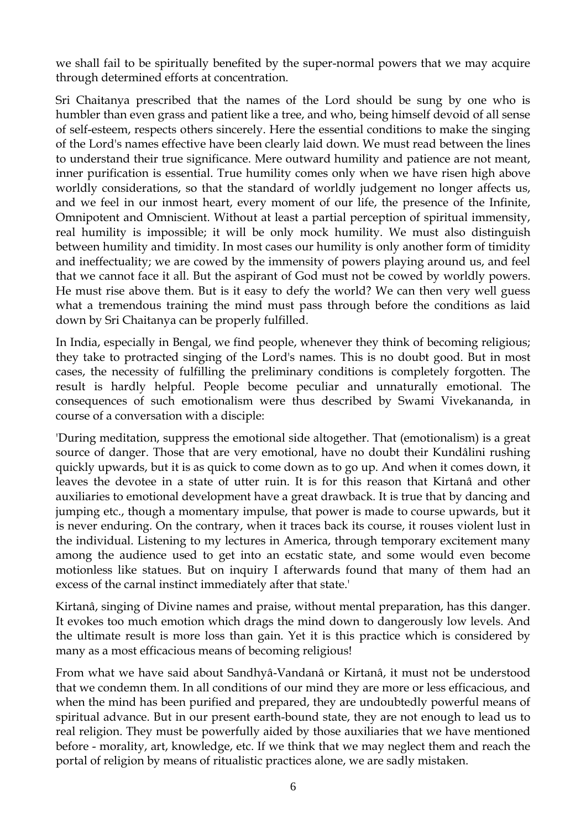we shall fail to be spiritually benefited by the super-normal powers that we may acquire through determined efforts at concentration.

Sri Chaitanya prescribed that the names of the Lord should be sung by one who is humbler than even grass and patient like a tree, and who, being himself devoid of all sense of self-esteem, respects others sincerely. Here the essential conditions to make the singing of the Lord's names effective have been clearly laid down. We must read between the lines to understand their true significance. Mere outward humility and patience are not meant, inner purification is essential. True humility comes only when we have risen high above worldly considerations, so that the standard of worldly judgement no longer affects us, and we feel in our inmost heart, every moment of our life, the presence of the Infinite, Omnipotent and Omniscient. Without at least a partial perception of spiritual immensity, real humility is impossible; it will be only mock humility. We must also distinguish between humility and timidity. In most cases our humility is only another form of timidity and ineffectuality; we are cowed by the immensity of powers playing around us, and feel that we cannot face it all. But the aspirant of God must not be cowed by worldly powers. He must rise above them. But is it easy to defy the world? We can then very well guess what a tremendous training the mind must pass through before the conditions as laid down by Sri Chaitanya can be properly fulfilled.

In India, especially in Bengal, we find people, whenever they think of becoming religious; they take to protracted singing of the Lord's names. This is no doubt good. But in most cases, the necessity of fulfilling the preliminary conditions is completely forgotten. The result is hardly helpful. People become peculiar and unnaturally emotional. The consequences of such emotionalism were thus described by Swami Vivekananda, in course of a conversation with a disciple:

'During meditation, suppress the emotional side altogether. That (emotionalism) is a great source of danger. Those that are very emotional, have no doubt their Kundâlini rushing quickly upwards, but it is as quick to come down as to go up. And when it comes down, it leaves the devotee in a state of utter ruin. It is for this reason that Kirtanâ and other auxiliaries to emotional development have a great drawback. It is true that by dancing and jumping etc., though a momentary impulse, that power is made to course upwards, but it is never enduring. On the contrary, when it traces back its course, it rouses violent lust in the individual. Listening to my lectures in America, through temporary excitement many among the audience used to get into an ecstatic state, and some would even become motionless like statues. But on inquiry I afterwards found that many of them had an excess of the carnal instinct immediately after that state.'

Kirtanâ, singing of Divine names and praise, without mental preparation, has this danger. It evokes too much emotion which drags the mind down to dangerously low levels. And the ultimate result is more loss than gain. Yet it is this practice which is considered by many as a most efficacious means of becoming religious!

From what we have said about Sandhyâ-Vandanâ or Kirtanâ, it must not be understood that we condemn them. In all conditions of our mind they are more or less efficacious, and when the mind has been purified and prepared, they are undoubtedly powerful means of spiritual advance. But in our present earth-bound state, they are not enough to lead us to real religion. They must be powerfully aided by those auxiliaries that we have mentioned before - morality, art, knowledge, etc. If we think that we may neglect them and reach the portal of religion by means of ritualistic practices alone, we are sadly mistaken.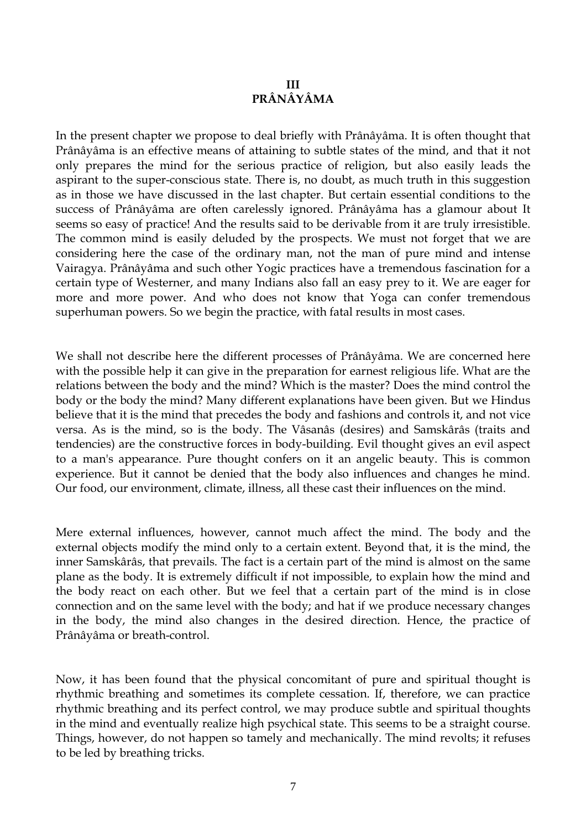### **III PRÂNÂYÂMA**

In the present chapter we propose to deal briefly with Prânâyâma. It is often thought that Prânâyâma is an effective means of attaining to subtle states of the mind, and that it not only prepares the mind for the serious practice of religion, but also easily leads the aspirant to the super-conscious state. There is, no doubt, as much truth in this suggestion as in those we have discussed in the last chapter. But certain essential conditions to the success of Prânâyâma are often carelessly ignored. Prânâyâma has a glamour about It seems so easy of practice! And the results said to be derivable from it are truly irresistible. The common mind is easily deluded by the prospects. We must not forget that we are considering here the case of the ordinary man, not the man of pure mind and intense Vairagya. Prânâyâma and such other Yogic practices have a tremendous fascination for a certain type of Westerner, and many Indians also fall an easy prey to it. We are eager for more and more power. And who does not know that Yoga can confer tremendous superhuman powers. So we begin the practice, with fatal results in most cases.

We shall not describe here the different processes of Prânâyâma. We are concerned here with the possible help it can give in the preparation for earnest religious life. What are the relations between the body and the mind? Which is the master? Does the mind control the body or the body the mind? Many different explanations have been given. But we Hindus believe that it is the mind that precedes the body and fashions and controls it, and not vice versa. As is the mind, so is the body. The Vâsanâs (desires) and Samskârâs (traits and tendencies) are the constructive forces in body-building. Evil thought gives an evil aspect to a man's appearance. Pure thought confers on it an angelic beauty. This is common experience. But it cannot be denied that the body also influences and changes he mind. Our food, our environment, climate, illness, all these cast their influences on the mind.

Mere external influences, however, cannot much affect the mind. The body and the external objects modify the mind only to a certain extent. Beyond that, it is the mind, the inner Samskârâs, that prevails. The fact is a certain part of the mind is almost on the same plane as the body. It is extremely difficult if not impossible, to explain how the mind and the body react on each other. But we feel that a certain part of the mind is in close connection and on the same level with the body; and hat if we produce necessary changes in the body, the mind also changes in the desired direction. Hence, the practice of Prânâyâma or breath-control.

Now, it has been found that the physical concomitant of pure and spiritual thought is rhythmic breathing and sometimes its complete cessation. If, therefore, we can practice rhythmic breathing and its perfect control, we may produce subtle and spiritual thoughts in the mind and eventually realize high psychical state. This seems to be a straight course. Things, however, do not happen so tamely and mechanically. The mind revolts; it refuses to be led by breathing tricks.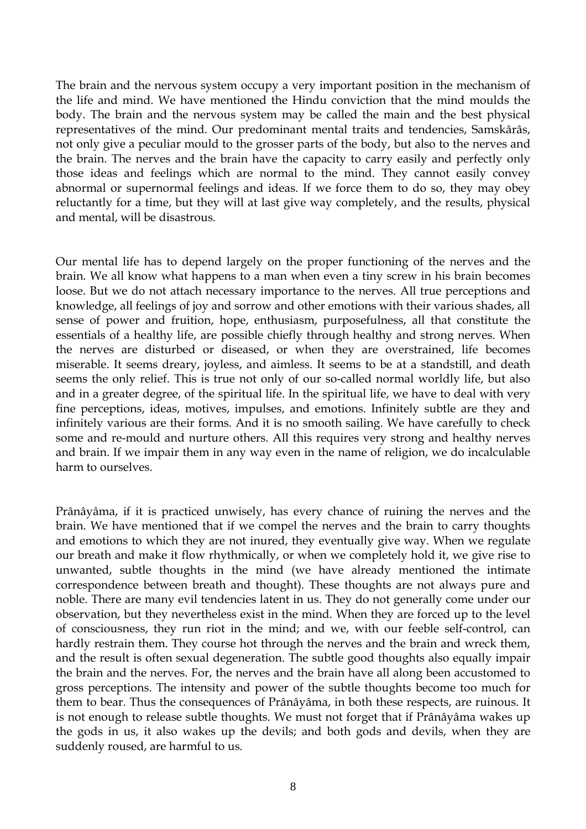The brain and the nervous system occupy a very important position in the mechanism of the life and mind. We have mentioned the Hindu conviction that the mind moulds the body. The brain and the nervous system may be called the main and the best physical representatives of the mind. Our predominant mental traits and tendencies, Samskârâs, not only give a peculiar mould to the grosser parts of the body, but also to the nerves and the brain. The nerves and the brain have the capacity to carry easily and perfectly only those ideas and feelings which are normal to the mind. They cannot easily convey abnormal or supernormal feelings and ideas. If we force them to do so, they may obey reluctantly for a time, but they will at last give way completely, and the results, physical and mental, will be disastrous.

Our mental life has to depend largely on the proper functioning of the nerves and the brain. We all know what happens to a man when even a tiny screw in his brain becomes loose. But we do not attach necessary importance to the nerves. All true perceptions and knowledge, all feelings of joy and sorrow and other emotions with their various shades, all sense of power and fruition, hope, enthusiasm, purposefulness, all that constitute the essentials of a healthy life, are possible chiefly through healthy and strong nerves. When the nerves are disturbed or diseased, or when they are overstrained, life becomes miserable. It seems dreary, joyless, and aimless. It seems to be at a standstill, and death seems the only relief. This is true not only of our so-called normal worldly life, but also and in a greater degree, of the spiritual life. In the spiritual life, we have to deal with very fine perceptions, ideas, motives, impulses, and emotions. Infinitely subtle are they and infinitely various are their forms. And it is no smooth sailing. We have carefully to check some and re-mould and nurture others. All this requires very strong and healthy nerves and brain. If we impair them in any way even in the name of religion, we do incalculable harm to ourselves.

Prânâyâma, if it is practiced unwisely, has every chance of ruining the nerves and the brain. We have mentioned that if we compel the nerves and the brain to carry thoughts and emotions to which they are not inured, they eventually give way. When we regulate our breath and make it flow rhythmically, or when we completely hold it, we give rise to unwanted, subtle thoughts in the mind (we have already mentioned the intimate correspondence between breath and thought). These thoughts are not always pure and noble. There are many evil tendencies latent in us. They do not generally come under our observation, but they nevertheless exist in the mind. When they are forced up to the level of consciousness, they run riot in the mind; and we, with our feeble self-control, can hardly restrain them. They course hot through the nerves and the brain and wreck them, and the result is often sexual degeneration. The subtle good thoughts also equally impair the brain and the nerves. For, the nerves and the brain have all along been accustomed to gross perceptions. The intensity and power of the subtle thoughts become too much for them to bear. Thus the consequences of Prânâyâma, in both these respects, are ruinous. It is not enough to release subtle thoughts. We must not forget that if Prânâyâma wakes up the gods in us, it also wakes up the devils; and both gods and devils, when they are suddenly roused, are harmful to us.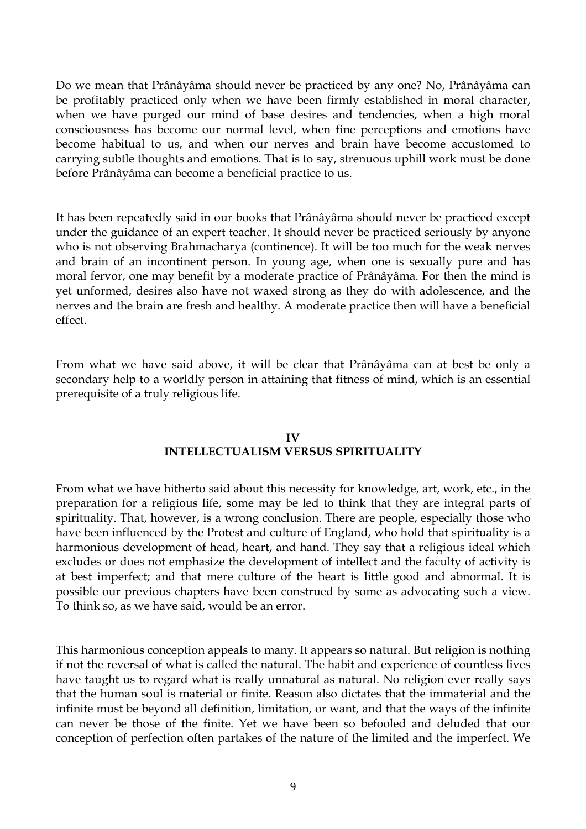Do we mean that Prânâyâma should never be practiced by any one? No, Prânâyâma can be profitably practiced only when we have been firmly established in moral character, when we have purged our mind of base desires and tendencies, when a high moral consciousness has become our normal level, when fine perceptions and emotions have become habitual to us, and when our nerves and brain have become accustomed to carrying subtle thoughts and emotions. That is to say, strenuous uphill work must be done before Prânâyâma can become a beneficial practice to us.

It has been repeatedly said in our books that Prânâyâma should never be practiced except under the guidance of an expert teacher. It should never be practiced seriously by anyone who is not observing Brahmacharya (continence). It will be too much for the weak nerves and brain of an incontinent person. In young age, when one is sexually pure and has moral fervor, one may benefit by a moderate practice of Prânâyâma. For then the mind is yet unformed, desires also have not waxed strong as they do with adolescence, and the nerves and the brain are fresh and healthy. A moderate practice then will have a beneficial effect.

From what we have said above, it will be clear that Prânâyâma can at best be only a secondary help to a worldly person in attaining that fitness of mind, which is an essential prerequisite of a truly religious life.

## **IV INTELLECTUALISM VERSUS SPIRITUALITY**

From what we have hitherto said about this necessity for knowledge, art, work, etc., in the preparation for a religious life, some may be led to think that they are integral parts of spirituality. That, however, is a wrong conclusion. There are people, especially those who have been influenced by the Protest and culture of England, who hold that spirituality is a harmonious development of head, heart, and hand. They say that a religious ideal which excludes or does not emphasize the development of intellect and the faculty of activity is at best imperfect; and that mere culture of the heart is little good and abnormal. It is possible our previous chapters have been construed by some as advocating such a view. To think so, as we have said, would be an error.

This harmonious conception appeals to many. It appears so natural. But religion is nothing if not the reversal of what is called the natural. The habit and experience of countless lives have taught us to regard what is really unnatural as natural. No religion ever really says that the human soul is material or finite. Reason also dictates that the immaterial and the infinite must be beyond all definition, limitation, or want, and that the ways of the infinite can never be those of the finite. Yet we have been so befooled and deluded that our conception of perfection often partakes of the nature of the limited and the imperfect. We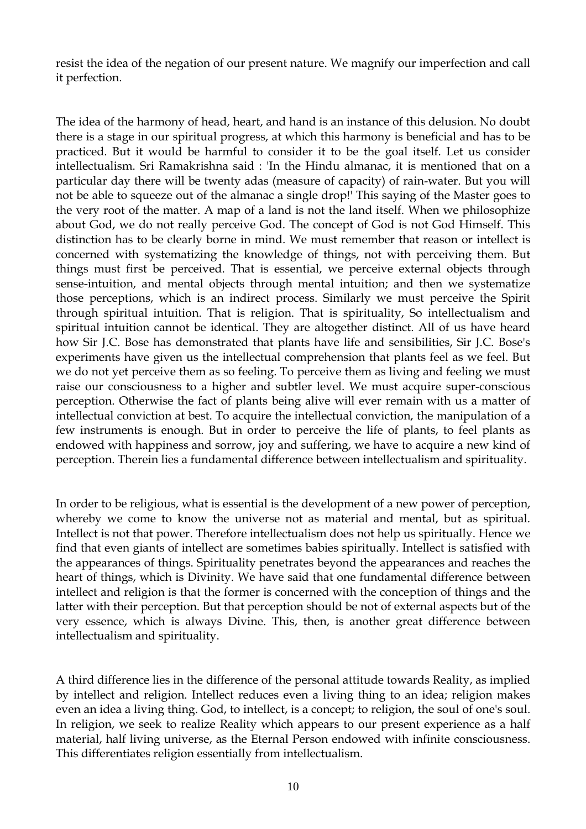resist the idea of the negation of our present nature. We magnify our imperfection and call it perfection.

The idea of the harmony of head, heart, and hand is an instance of this delusion. No doubt there is a stage in our spiritual progress, at which this harmony is beneficial and has to be practiced. But it would be harmful to consider it to be the goal itself. Let us consider intellectualism. Sri Ramakrishna said : 'In the Hindu almanac, it is mentioned that on a particular day there will be twenty adas (measure of capacity) of rain-water. But you will not be able to squeeze out of the almanac a single drop!' This saying of the Master goes to the very root of the matter. A map of a land is not the land itself. When we philosophize about God, we do not really perceive God. The concept of God is not God Himself. This distinction has to be clearly borne in mind. We must remember that reason or intellect is concerned with systematizing the knowledge of things, not with perceiving them. But things must first be perceived. That is essential, we perceive external objects through sense-intuition, and mental objects through mental intuition; and then we systematize those perceptions, which is an indirect process. Similarly we must perceive the Spirit through spiritual intuition. That is religion. That is spirituality, So intellectualism and spiritual intuition cannot be identical. They are altogether distinct. All of us have heard how Sir J.C. Bose has demonstrated that plants have life and sensibilities, Sir J.C. Bose's experiments have given us the intellectual comprehension that plants feel as we feel. But we do not yet perceive them as so feeling. To perceive them as living and feeling we must raise our consciousness to a higher and subtler level. We must acquire super-conscious perception. Otherwise the fact of plants being alive will ever remain with us a matter of intellectual conviction at best. To acquire the intellectual conviction, the manipulation of a few instruments is enough. But in order to perceive the life of plants, to feel plants as endowed with happiness and sorrow, joy and suffering, we have to acquire a new kind of perception. Therein lies a fundamental difference between intellectualism and spirituality.

In order to be religious, what is essential is the development of a new power of perception, whereby we come to know the universe not as material and mental, but as spiritual. Intellect is not that power. Therefore intellectualism does not help us spiritually. Hence we find that even giants of intellect are sometimes babies spiritually. Intellect is satisfied with the appearances of things. Spirituality penetrates beyond the appearances and reaches the heart of things, which is Divinity. We have said that one fundamental difference between intellect and religion is that the former is concerned with the conception of things and the latter with their perception. But that perception should be not of external aspects but of the very essence, which is always Divine. This, then, is another great difference between intellectualism and spirituality.

A third difference lies in the difference of the personal attitude towards Reality, as implied by intellect and religion. Intellect reduces even a living thing to an idea; religion makes even an idea a living thing. God, to intellect, is a concept; to religion, the soul of one's soul. In religion, we seek to realize Reality which appears to our present experience as a half material, half living universe, as the Eternal Person endowed with infinite consciousness. This differentiates religion essentially from intellectualism.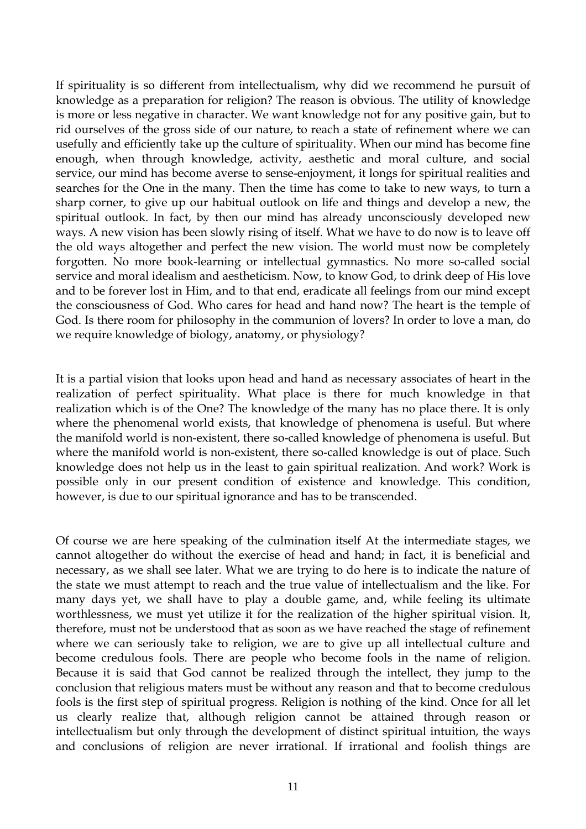If spirituality is so different from intellectualism, why did we recommend he pursuit of knowledge as a preparation for religion? The reason is obvious. The utility of knowledge is more or less negative in character. We want knowledge not for any positive gain, but to rid ourselves of the gross side of our nature, to reach a state of refinement where we can usefully and efficiently take up the culture of spirituality. When our mind has become fine enough, when through knowledge, activity, aesthetic and moral culture, and social service, our mind has become averse to sense-enjoyment, it longs for spiritual realities and searches for the One in the many. Then the time has come to take to new ways, to turn a sharp corner, to give up our habitual outlook on life and things and develop a new, the spiritual outlook. In fact, by then our mind has already unconsciously developed new ways. A new vision has been slowly rising of itself. What we have to do now is to leave off the old ways altogether and perfect the new vision. The world must now be completely forgotten. No more book-learning or intellectual gymnastics. No more so-called social service and moral idealism and aestheticism. Now, to know God, to drink deep of His love and to be forever lost in Him, and to that end, eradicate all feelings from our mind except the consciousness of God. Who cares for head and hand now? The heart is the temple of God. Is there room for philosophy in the communion of lovers? In order to love a man, do we require knowledge of biology, anatomy, or physiology?

It is a partial vision that looks upon head and hand as necessary associates of heart in the realization of perfect spirituality. What place is there for much knowledge in that realization which is of the One? The knowledge of the many has no place there. It is only where the phenomenal world exists, that knowledge of phenomena is useful. But where the manifold world is non-existent, there so-called knowledge of phenomena is useful. But where the manifold world is non-existent, there so-called knowledge is out of place. Such knowledge does not help us in the least to gain spiritual realization. And work? Work is possible only in our present condition of existence and knowledge. This condition, however, is due to our spiritual ignorance and has to be transcended.

Of course we are here speaking of the culmination itself At the intermediate stages, we cannot altogether do without the exercise of head and hand; in fact, it is beneficial and necessary, as we shall see later. What we are trying to do here is to indicate the nature of the state we must attempt to reach and the true value of intellectualism and the like. For many days yet, we shall have to play a double game, and, while feeling its ultimate worthlessness, we must yet utilize it for the realization of the higher spiritual vision. It, therefore, must not be understood that as soon as we have reached the stage of refinement where we can seriously take to religion, we are to give up all intellectual culture and become credulous fools. There are people who become fools in the name of religion. Because it is said that God cannot be realized through the intellect, they jump to the conclusion that religious maters must be without any reason and that to become credulous fools is the first step of spiritual progress. Religion is nothing of the kind. Once for all let us clearly realize that, although religion cannot be attained through reason or intellectualism but only through the development of distinct spiritual intuition, the ways and conclusions of religion are never irrational. If irrational and foolish things are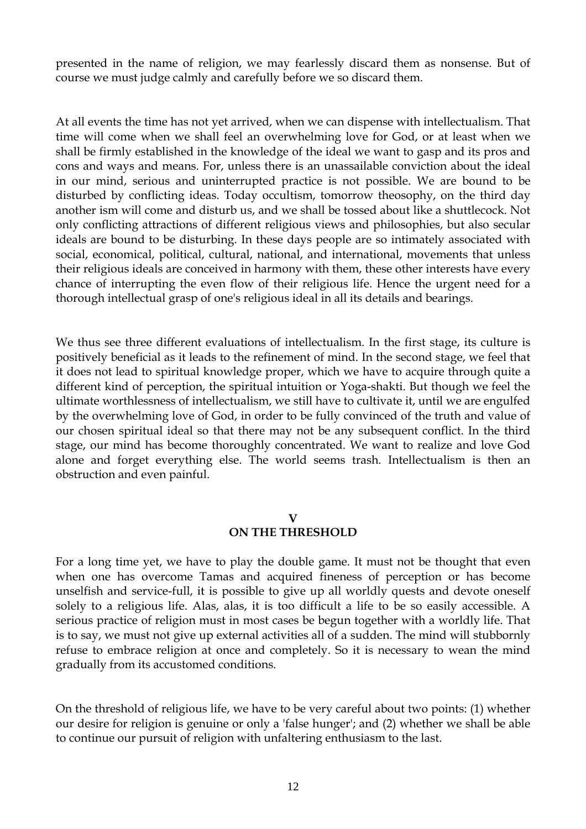presented in the name of religion, we may fearlessly discard them as nonsense. But of course we must judge calmly and carefully before we so discard them.

At all events the time has not yet arrived, when we can dispense with intellectualism. That time will come when we shall feel an overwhelming love for God, or at least when we shall be firmly established in the knowledge of the ideal we want to gasp and its pros and cons and ways and means. For, unless there is an unassailable conviction about the ideal in our mind, serious and uninterrupted practice is not possible. We are bound to be disturbed by conflicting ideas. Today occultism, tomorrow theosophy, on the third day another ism will come and disturb us, and we shall be tossed about like a shuttlecock. Not only conflicting attractions of different religious views and philosophies, but also secular ideals are bound to be disturbing. In these days people are so intimately associated with social, economical, political, cultural, national, and international, movements that unless their religious ideals are conceived in harmony with them, these other interests have every chance of interrupting the even flow of their religious life. Hence the urgent need for a thorough intellectual grasp of one's religious ideal in all its details and bearings.

We thus see three different evaluations of intellectualism. In the first stage, its culture is positively beneficial as it leads to the refinement of mind. In the second stage, we feel that it does not lead to spiritual knowledge proper, which we have to acquire through quite a different kind of perception, the spiritual intuition or Yoga-shakti. But though we feel the ultimate worthlessness of intellectualism, we still have to cultivate it, until we are engulfed by the overwhelming love of God, in order to be fully convinced of the truth and value of our chosen spiritual ideal so that there may not be any subsequent conflict. In the third stage, our mind has become thoroughly concentrated. We want to realize and love God alone and forget everything else. The world seems trash. Intellectualism is then an obstruction and even painful.

#### **V**

# **ON THE THRESHOLD**

For a long time yet, we have to play the double game. It must not be thought that even when one has overcome Tamas and acquired fineness of perception or has become unselfish and service-full, it is possible to give up all worldly quests and devote oneself solely to a religious life. Alas, alas, it is too difficult a life to be so easily accessible. A serious practice of religion must in most cases be begun together with a worldly life. That is to say, we must not give up external activities all of a sudden. The mind will stubbornly refuse to embrace religion at once and completely. So it is necessary to wean the mind gradually from its accustomed conditions.

On the threshold of religious life, we have to be very careful about two points: (1) whether our desire for religion is genuine or only a 'false hunger'; and (2) whether we shall be able to continue our pursuit of religion with unfaltering enthusiasm to the last.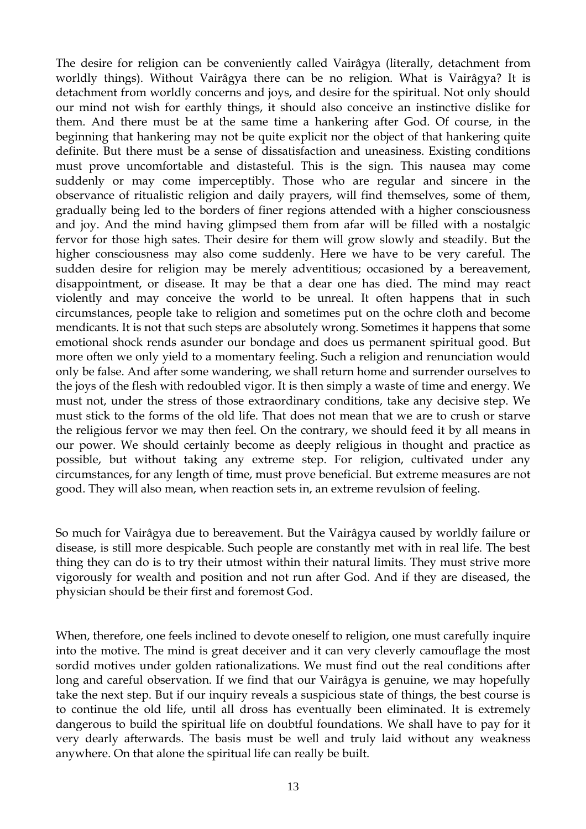The desire for religion can be conveniently called Vairâgya (literally, detachment from worldly things). Without Vairâgya there can be no religion. What is Vairâgya? It is detachment from worldly concerns and joys, and desire for the spiritual. Not only should our mind not wish for earthly things, it should also conceive an instinctive dislike for them. And there must be at the same time a hankering after God. Of course, in the beginning that hankering may not be quite explicit nor the object of that hankering quite definite. But there must be a sense of dissatisfaction and uneasiness. Existing conditions must prove uncomfortable and distasteful. This is the sign. This nausea may come suddenly or may come imperceptibly. Those who are regular and sincere in the observance of ritualistic religion and daily prayers, will find themselves, some of them, gradually being led to the borders of finer regions attended with a higher consciousness and joy. And the mind having glimpsed them from afar will be filled with a nostalgic fervor for those high sates. Their desire for them will grow slowly and steadily. But the higher consciousness may also come suddenly. Here we have to be very careful. The sudden desire for religion may be merely adventitious; occasioned by a bereavement, disappointment, or disease. It may be that a dear one has died. The mind may react violently and may conceive the world to be unreal. It often happens that in such circumstances, people take to religion and sometimes put on the ochre cloth and become mendicants. It is not that such steps are absolutely wrong. Sometimes it happens that some emotional shock rends asunder our bondage and does us permanent spiritual good. But more often we only yield to a momentary feeling. Such a religion and renunciation would only be false. And after some wandering, we shall return home and surrender ourselves to the joys of the flesh with redoubled vigor. It is then simply a waste of time and energy. We must not, under the stress of those extraordinary conditions, take any decisive step. We must stick to the forms of the old life. That does not mean that we are to crush or starve the religious fervor we may then feel. On the contrary, we should feed it by all means in our power. We should certainly become as deeply religious in thought and practice as possible, but without taking any extreme step. For religion, cultivated under any circumstances, for any length of time, must prove beneficial. But extreme measures are not good. They will also mean, when reaction sets in, an extreme revulsion of feeling.

So much for Vairâgya due to bereavement. But the Vairâgya caused by worldly failure or disease, is still more despicable. Such people are constantly met with in real life. The best thing they can do is to try their utmost within their natural limits. They must strive more vigorously for wealth and position and not run after God. And if they are diseased, the physician should be their first and foremost God.

When, therefore, one feels inclined to devote oneself to religion, one must carefully inquire into the motive. The mind is great deceiver and it can very cleverly camouflage the most sordid motives under golden rationalizations. We must find out the real conditions after long and careful observation. If we find that our Vairâgya is genuine, we may hopefully take the next step. But if our inquiry reveals a suspicious state of things, the best course is to continue the old life, until all dross has eventually been eliminated. It is extremely dangerous to build the spiritual life on doubtful foundations. We shall have to pay for it very dearly afterwards. The basis must be well and truly laid without any weakness anywhere. On that alone the spiritual life can really be built.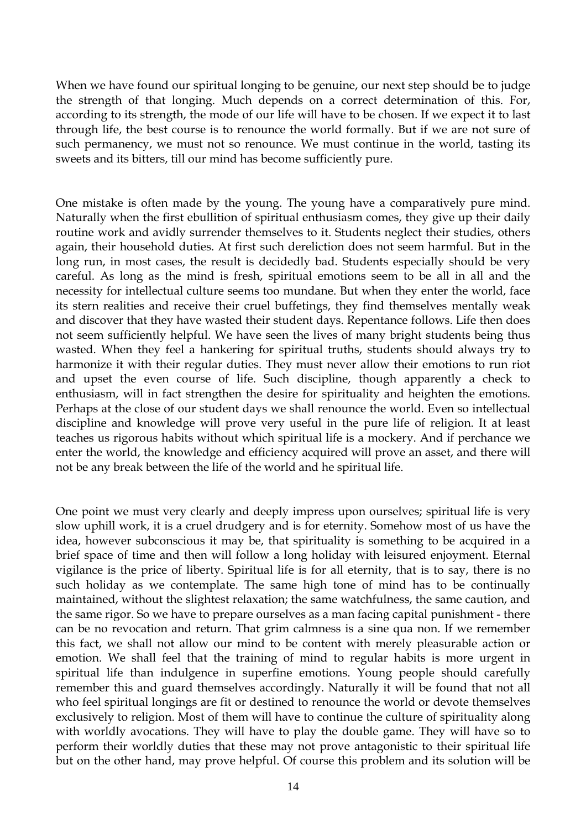When we have found our spiritual longing to be genuine, our next step should be to judge the strength of that longing. Much depends on a correct determination of this. For, according to its strength, the mode of our life will have to be chosen. If we expect it to last through life, the best course is to renounce the world formally. But if we are not sure of such permanency, we must not so renounce. We must continue in the world, tasting its sweets and its bitters, till our mind has become sufficiently pure.

One mistake is often made by the young. The young have a comparatively pure mind. Naturally when the first ebullition of spiritual enthusiasm comes, they give up their daily routine work and avidly surrender themselves to it. Students neglect their studies, others again, their household duties. At first such dereliction does not seem harmful. But in the long run, in most cases, the result is decidedly bad. Students especially should be very careful. As long as the mind is fresh, spiritual emotions seem to be all in all and the necessity for intellectual culture seems too mundane. But when they enter the world, face its stern realities and receive their cruel buffetings, they find themselves mentally weak and discover that they have wasted their student days. Repentance follows. Life then does not seem sufficiently helpful. We have seen the lives of many bright students being thus wasted. When they feel a hankering for spiritual truths, students should always try to harmonize it with their regular duties. They must never allow their emotions to run riot and upset the even course of life. Such discipline, though apparently a check to enthusiasm, will in fact strengthen the desire for spirituality and heighten the emotions. Perhaps at the close of our student days we shall renounce the world. Even so intellectual discipline and knowledge will prove very useful in the pure life of religion. It at least teaches us rigorous habits without which spiritual life is a mockery. And if perchance we enter the world, the knowledge and efficiency acquired will prove an asset, and there will not be any break between the life of the world and he spiritual life.

One point we must very clearly and deeply impress upon ourselves; spiritual life is very slow uphill work, it is a cruel drudgery and is for eternity. Somehow most of us have the idea, however subconscious it may be, that spirituality is something to be acquired in a brief space of time and then will follow a long holiday with leisured enjoyment. Eternal vigilance is the price of liberty. Spiritual life is for all eternity, that is to say, there is no such holiday as we contemplate. The same high tone of mind has to be continually maintained, without the slightest relaxation; the same watchfulness, the same caution, and the same rigor. So we have to prepare ourselves as a man facing capital punishment - there can be no revocation and return. That grim calmness is a sine qua non. If we remember this fact, we shall not allow our mind to be content with merely pleasurable action or emotion. We shall feel that the training of mind to regular habits is more urgent in spiritual life than indulgence in superfine emotions. Young people should carefully remember this and guard themselves accordingly. Naturally it will be found that not all who feel spiritual longings are fit or destined to renounce the world or devote themselves exclusively to religion. Most of them will have to continue the culture of spirituality along with worldly avocations. They will have to play the double game. They will have so to perform their worldly duties that these may not prove antagonistic to their spiritual life but on the other hand, may prove helpful. Of course this problem and its solution will be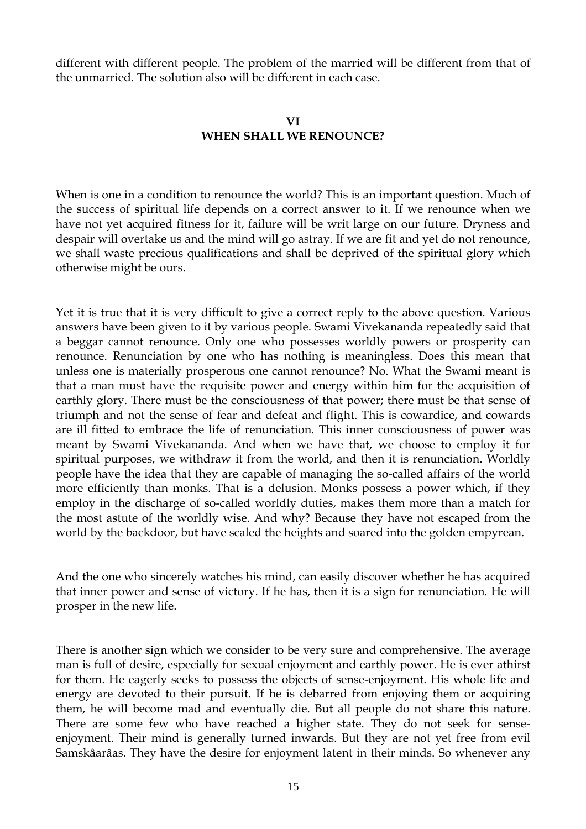different with different people. The problem of the married will be different from that of the unmarried. The solution also will be different in each case.

## **VI WHEN SHALL WE RENOUNCE?**

When is one in a condition to renounce the world? This is an important question. Much of the success of spiritual life depends on a correct answer to it. If we renounce when we have not yet acquired fitness for it, failure will be writ large on our future. Dryness and despair will overtake us and the mind will go astray. If we are fit and yet do not renounce, we shall waste precious qualifications and shall be deprived of the spiritual glory which otherwise might be ours.

Yet it is true that it is very difficult to give a correct reply to the above question. Various answers have been given to it by various people. Swami Vivekananda repeatedly said that a beggar cannot renounce. Only one who possesses worldly powers or prosperity can renounce. Renunciation by one who has nothing is meaningless. Does this mean that unless one is materially prosperous one cannot renounce? No. What the Swami meant is that a man must have the requisite power and energy within him for the acquisition of earthly glory. There must be the consciousness of that power; there must be that sense of triumph and not the sense of fear and defeat and flight. This is cowardice, and cowards are ill fitted to embrace the life of renunciation. This inner consciousness of power was meant by Swami Vivekananda. And when we have that, we choose to employ it for spiritual purposes, we withdraw it from the world, and then it is renunciation. Worldly people have the idea that they are capable of managing the so-called affairs of the world more efficiently than monks. That is a delusion. Monks possess a power which, if they employ in the discharge of so-called worldly duties, makes them more than a match for the most astute of the worldly wise. And why? Because they have not escaped from the world by the backdoor, but have scaled the heights and soared into the golden empyrean.

And the one who sincerely watches his mind, can easily discover whether he has acquired that inner power and sense of victory. If he has, then it is a sign for renunciation. He will prosper in the new life.

There is another sign which we consider to be very sure and comprehensive. The average man is full of desire, especially for sexual enjoyment and earthly power. He is ever athirst for them. He eagerly seeks to possess the objects of sense-enjoyment. His whole life and energy are devoted to their pursuit. If he is debarred from enjoying them or acquiring them, he will become mad and eventually die. But all people do not share this nature. There are some few who have reached a higher state. They do not seek for senseenjoyment. Their mind is generally turned inwards. But they are not yet free from evil Samskâarâas. They have the desire for enjoyment latent in their minds. So whenever any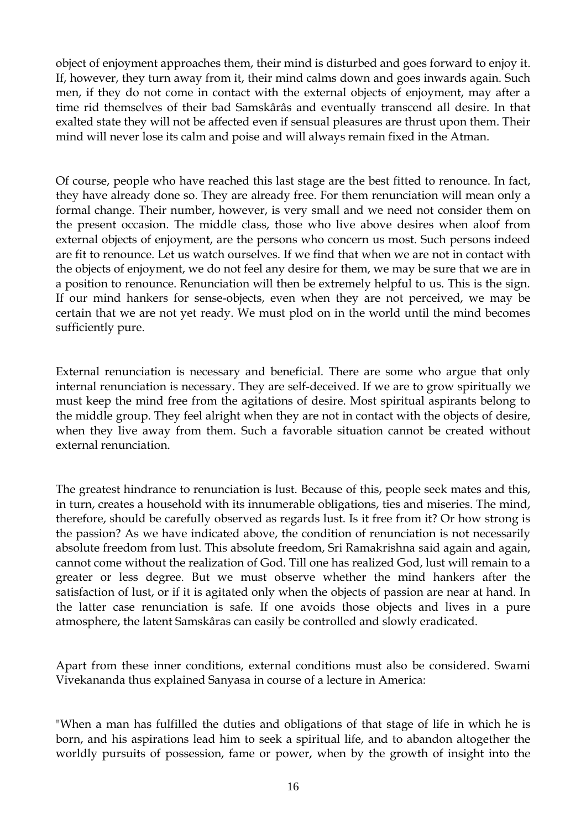object of enjoyment approaches them, their mind is disturbed and goes forward to enjoy it. If, however, they turn away from it, their mind calms down and goes inwards again. Such men, if they do not come in contact with the external objects of enjoyment, may after a time rid themselves of their bad Samskârâs and eventually transcend all desire. In that exalted state they will not be affected even if sensual pleasures are thrust upon them. Their mind will never lose its calm and poise and will always remain fixed in the Atman.

Of course, people who have reached this last stage are the best fitted to renounce. In fact, they have already done so. They are already free. For them renunciation will mean only a formal change. Their number, however, is very small and we need not consider them on the present occasion. The middle class, those who live above desires when aloof from external objects of enjoyment, are the persons who concern us most. Such persons indeed are fit to renounce. Let us watch ourselves. If we find that when we are not in contact with the objects of enjoyment, we do not feel any desire for them, we may be sure that we are in a position to renounce. Renunciation will then be extremely helpful to us. This is the sign. If our mind hankers for sense-objects, even when they are not perceived, we may be certain that we are not yet ready. We must plod on in the world until the mind becomes sufficiently pure.

External renunciation is necessary and beneficial. There are some who argue that only internal renunciation is necessary. They are self-deceived. If we are to grow spiritually we must keep the mind free from the agitations of desire. Most spiritual aspirants belong to the middle group. They feel alright when they are not in contact with the objects of desire, when they live away from them. Such a favorable situation cannot be created without external renunciation.

The greatest hindrance to renunciation is lust. Because of this, people seek mates and this, in turn, creates a household with its innumerable obligations, ties and miseries. The mind, therefore, should be carefully observed as regards lust. Is it free from it? Or how strong is the passion? As we have indicated above, the condition of renunciation is not necessarily absolute freedom from lust. This absolute freedom, Sri Ramakrishna said again and again, cannot come without the realization of God. Till one has realized God, lust will remain to a greater or less degree. But we must observe whether the mind hankers after the satisfaction of lust, or if it is agitated only when the objects of passion are near at hand. In the latter case renunciation is safe. If one avoids those objects and lives in a pure atmosphere, the latent Samskâras can easily be controlled and slowly eradicated.

Apart from these inner conditions, external conditions must also be considered. Swami Vivekananda thus explained Sanyasa in course of a lecture in America:

"When a man has fulfilled the duties and obligations of that stage of life in which he is born, and his aspirations lead him to seek a spiritual life, and to abandon altogether the worldly pursuits of possession, fame or power, when by the growth of insight into the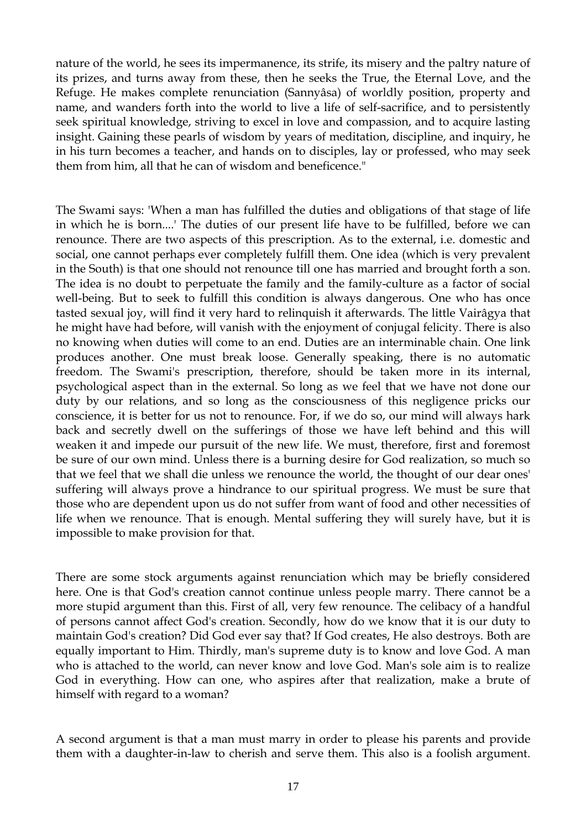nature of the world, he sees its impermanence, its strife, its misery and the paltry nature of its prizes, and turns away from these, then he seeks the True, the Eternal Love, and the Refuge. He makes complete renunciation (Sannyâsa) of worldly position, property and name, and wanders forth into the world to live a life of self-sacrifice, and to persistently seek spiritual knowledge, striving to excel in love and compassion, and to acquire lasting insight. Gaining these pearls of wisdom by years of meditation, discipline, and inquiry, he in his turn becomes a teacher, and hands on to disciples, lay or professed, who may seek them from him, all that he can of wisdom and beneficence."

The Swami says: 'When a man has fulfilled the duties and obligations of that stage of life in which he is born....' The duties of our present life have to be fulfilled, before we can renounce. There are two aspects of this prescription. As to the external, i.e. domestic and social, one cannot perhaps ever completely fulfill them. One idea (which is very prevalent in the South) is that one should not renounce till one has married and brought forth a son. The idea is no doubt to perpetuate the family and the family-culture as a factor of social well-being. But to seek to fulfill this condition is always dangerous. One who has once tasted sexual joy, will find it very hard to relinquish it afterwards. The little Vairâgya that he might have had before, will vanish with the enjoyment of conjugal felicity. There is also no knowing when duties will come to an end. Duties are an interminable chain. One link produces another. One must break loose. Generally speaking, there is no automatic freedom. The Swami's prescription, therefore, should be taken more in its internal, psychological aspect than in the external. So long as we feel that we have not done our duty by our relations, and so long as the consciousness of this negligence pricks our conscience, it is better for us not to renounce. For, if we do so, our mind will always hark back and secretly dwell on the sufferings of those we have left behind and this will weaken it and impede our pursuit of the new life. We must, therefore, first and foremost be sure of our own mind. Unless there is a burning desire for God realization, so much so that we feel that we shall die unless we renounce the world, the thought of our dear ones' suffering will always prove a hindrance to our spiritual progress. We must be sure that those who are dependent upon us do not suffer from want of food and other necessities of life when we renounce. That is enough. Mental suffering they will surely have, but it is impossible to make provision for that.

There are some stock arguments against renunciation which may be briefly considered here. One is that God's creation cannot continue unless people marry. There cannot be a more stupid argument than this. First of all, very few renounce. The celibacy of a handful of persons cannot affect God's creation. Secondly, how do we know that it is our duty to maintain God's creation? Did God ever say that? If God creates, He also destroys. Both are equally important to Him. Thirdly, man's supreme duty is to know and love God. A man who is attached to the world, can never know and love God. Man's sole aim is to realize God in everything. How can one, who aspires after that realization, make a brute of himself with regard to a woman?

A second argument is that a man must marry in order to please his parents and provide them with a daughter-in-law to cherish and serve them. This also is a foolish argument.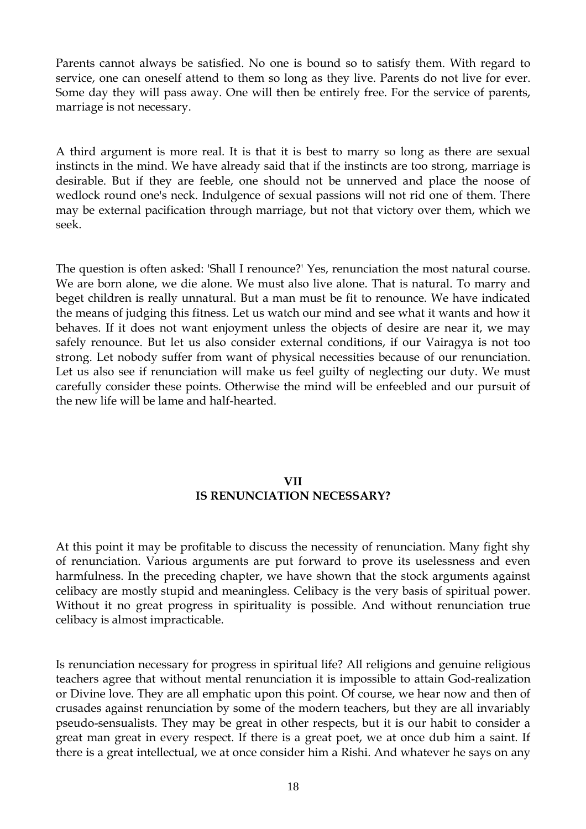Parents cannot always be satisfied. No one is bound so to satisfy them. With regard to service, one can oneself attend to them so long as they live. Parents do not live for ever. Some day they will pass away. One will then be entirely free. For the service of parents, marriage is not necessary.

A third argument is more real. It is that it is best to marry so long as there are sexual instincts in the mind. We have already said that if the instincts are too strong, marriage is desirable. But if they are feeble, one should not be unnerved and place the noose of wedlock round one's neck. Indulgence of sexual passions will not rid one of them. There may be external pacification through marriage, but not that victory over them, which we seek.

The question is often asked: 'Shall I renounce?' Yes, renunciation the most natural course. We are born alone, we die alone. We must also live alone. That is natural. To marry and beget children is really unnatural. But a man must be fit to renounce. We have indicated the means of judging this fitness. Let us watch our mind and see what it wants and how it behaves. If it does not want enjoyment unless the objects of desire are near it, we may safely renounce. But let us also consider external conditions, if our Vairagya is not too strong. Let nobody suffer from want of physical necessities because of our renunciation. Let us also see if renunciation will make us feel guilty of neglecting our duty. We must carefully consider these points. Otherwise the mind will be enfeebled and our pursuit of the new life will be lame and half-hearted.

## **VII IS RENUNCIATION NECESSARY?**

At this point it may be profitable to discuss the necessity of renunciation. Many fight shy of renunciation. Various arguments are put forward to prove its uselessness and even harmfulness. In the preceding chapter, we have shown that the stock arguments against celibacy are mostly stupid and meaningless. Celibacy is the very basis of spiritual power. Without it no great progress in spirituality is possible. And without renunciation true celibacy is almost impracticable.

Is renunciation necessary for progress in spiritual life? All religions and genuine religious teachers agree that without mental renunciation it is impossible to attain God-realization or Divine love. They are all emphatic upon this point. Of course, we hear now and then of crusades against renunciation by some of the modern teachers, but they are all invariably pseudo-sensualists. They may be great in other respects, but it is our habit to consider a great man great in every respect. If there is a great poet, we at once dub him a saint. If there is a great intellectual, we at once consider him a Rishi. And whatever he says on any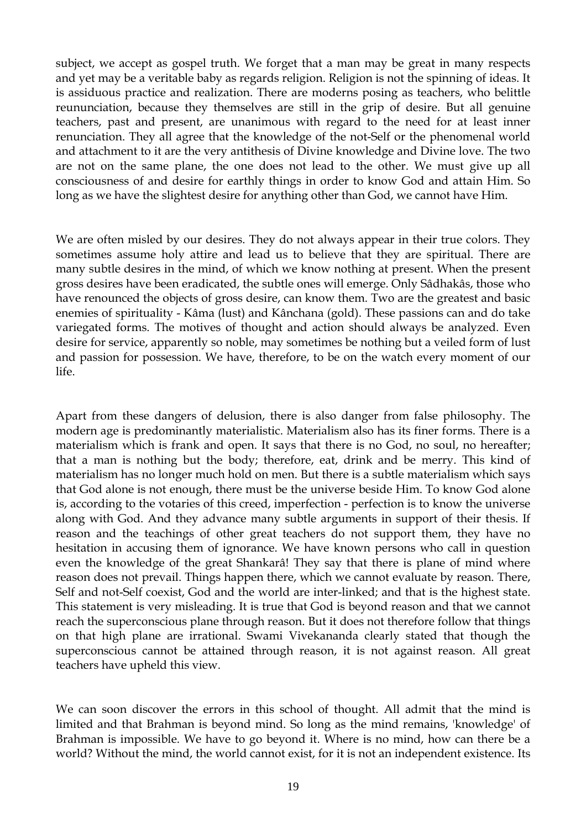subject, we accept as gospel truth. We forget that a man may be great in many respects and yet may be a veritable baby as regards religion. Religion is not the spinning of ideas. It is assiduous practice and realization. There are moderns posing as teachers, who belittle reununciation, because they themselves are still in the grip of desire. But all genuine teachers, past and present, are unanimous with regard to the need for at least inner renunciation. They all agree that the knowledge of the not-Self or the phenomenal world and attachment to it are the very antithesis of Divine knowledge and Divine love. The two are not on the same plane, the one does not lead to the other. We must give up all consciousness of and desire for earthly things in order to know God and attain Him. So long as we have the slightest desire for anything other than God, we cannot have Him.

We are often misled by our desires. They do not always appear in their true colors. They sometimes assume holy attire and lead us to believe that they are spiritual. There are many subtle desires in the mind, of which we know nothing at present. When the present gross desires have been eradicated, the subtle ones will emerge. Only Sâdhakâs, those who have renounced the objects of gross desire, can know them. Two are the greatest and basic enemies of spirituality - Kâma (lust) and Kânchana (gold). These passions can and do take variegated forms. The motives of thought and action should always be analyzed. Even desire for service, apparently so noble, may sometimes be nothing but a veiled form of lust and passion for possession. We have, therefore, to be on the watch every moment of our life.

Apart from these dangers of delusion, there is also danger from false philosophy. The modern age is predominantly materialistic. Materialism also has its finer forms. There is a materialism which is frank and open. It says that there is no God, no soul, no hereafter; that a man is nothing but the body; therefore, eat, drink and be merry. This kind of materialism has no longer much hold on men. But there is a subtle materialism which says that God alone is not enough, there must be the universe beside Him. To know God alone is, according to the votaries of this creed, imperfection - perfection is to know the universe along with God. And they advance many subtle arguments in support of their thesis. If reason and the teachings of other great teachers do not support them, they have no hesitation in accusing them of ignorance. We have known persons who call in question even the knowledge of the great Shankarâ! They say that there is plane of mind where reason does not prevail. Things happen there, which we cannot evaluate by reason. There, Self and not-Self coexist, God and the world are inter-linked; and that is the highest state. This statement is very misleading. It is true that God is beyond reason and that we cannot reach the superconscious plane through reason. But it does not therefore follow that things on that high plane are irrational. Swami Vivekananda clearly stated that though the superconscious cannot be attained through reason, it is not against reason. All great teachers have upheld this view.

We can soon discover the errors in this school of thought. All admit that the mind is limited and that Brahman is beyond mind. So long as the mind remains, 'knowledge' of Brahman is impossible. We have to go beyond it. Where is no mind, how can there be a world? Without the mind, the world cannot exist, for it is not an independent existence. Its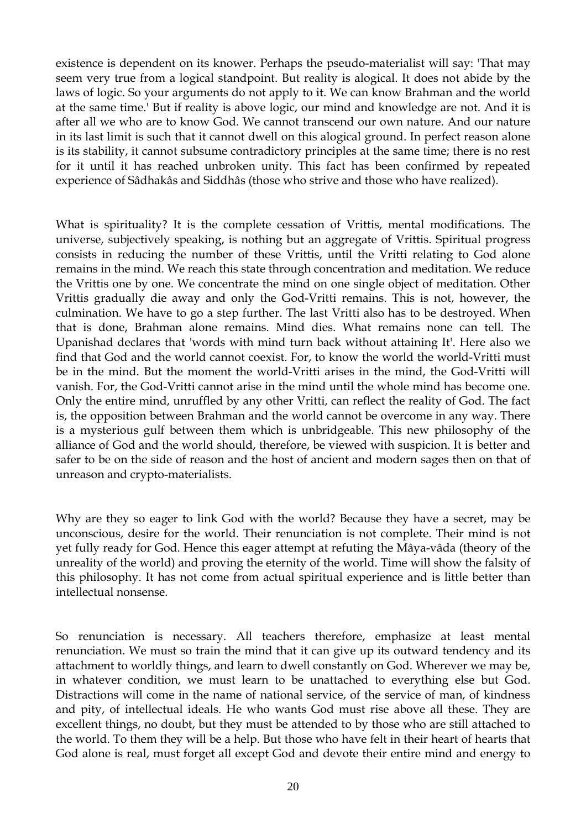existence is dependent on its knower. Perhaps the pseudo-materialist will say: 'That may seem very true from a logical standpoint. But reality is alogical. It does not abide by the laws of logic. So your arguments do not apply to it. We can know Brahman and the world at the same time.' But if reality is above logic, our mind and knowledge are not. And it is after all we who are to know God. We cannot transcend our own nature. And our nature in its last limit is such that it cannot dwell on this alogical ground. In perfect reason alone is its stability, it cannot subsume contradictory principles at the same time; there is no rest for it until it has reached unbroken unity. This fact has been confirmed by repeated experience of Sâdhakâs and Siddhâs (those who strive and those who have realized).

What is spirituality? It is the complete cessation of Vrittis, mental modifications. The universe, subjectively speaking, is nothing but an aggregate of Vrittis. Spiritual progress consists in reducing the number of these Vrittis, until the Vritti relating to God alone remains in the mind. We reach this state through concentration and meditation. We reduce the Vrittis one by one. We concentrate the mind on one single object of meditation. Other Vrittis gradually die away and only the God-Vritti remains. This is not, however, the culmination. We have to go a step further. The last Vritti also has to be destroyed. When that is done, Brahman alone remains. Mind dies. What remains none can tell. The Upanishad declares that 'words with mind turn back without attaining It'. Here also we find that God and the world cannot coexist. For, to know the world the world-Vritti must be in the mind. But the moment the world-Vritti arises in the mind, the God-Vritti will vanish. For, the God-Vritti cannot arise in the mind until the whole mind has become one. Only the entire mind, unruffled by any other Vritti, can reflect the reality of God. The fact is, the opposition between Brahman and the world cannot be overcome in any way. There is a mysterious gulf between them which is unbridgeable. This new philosophy of the alliance of God and the world should, therefore, be viewed with suspicion. It is better and safer to be on the side of reason and the host of ancient and modern sages then on that of unreason and crypto-materialists.

Why are they so eager to link God with the world? Because they have a secret, may be unconscious, desire for the world. Their renunciation is not complete. Their mind is not yet fully ready for God. Hence this eager attempt at refuting the Mâya-vâda (theory of the unreality of the world) and proving the eternity of the world. Time will show the falsity of this philosophy. It has not come from actual spiritual experience and is little better than intellectual nonsense.

So renunciation is necessary. All teachers therefore, emphasize at least mental renunciation. We must so train the mind that it can give up its outward tendency and its attachment to worldly things, and learn to dwell constantly on God. Wherever we may be, in whatever condition, we must learn to be unattached to everything else but God. Distractions will come in the name of national service, of the service of man, of kindness and pity, of intellectual ideals. He who wants God must rise above all these. They are excellent things, no doubt, but they must be attended to by those who are still attached to the world. To them they will be a help. But those who have felt in their heart of hearts that God alone is real, must forget all except God and devote their entire mind and energy to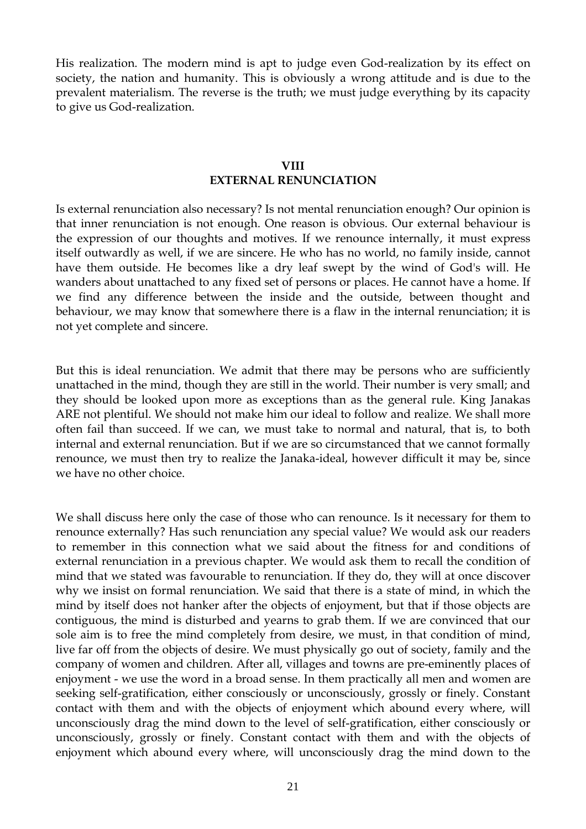His realization. The modern mind is apt to judge even God-realization by its effect on society, the nation and humanity. This is obviously a wrong attitude and is due to the prevalent materialism. The reverse is the truth; we must judge everything by its capacity to give us God-realization.

#### **VIII EXTERNAL RENUNCIATION**

Is external renunciation also necessary? Is not mental renunciation enough? Our opinion is that inner renunciation is not enough. One reason is obvious. Our external behaviour is the expression of our thoughts and motives. If we renounce internally, it must express itself outwardly as well, if we are sincere. He who has no world, no family inside, cannot have them outside. He becomes like a dry leaf swept by the wind of God's will. He wanders about unattached to any fixed set of persons or places. He cannot have a home. If we find any difference between the inside and the outside, between thought and behaviour, we may know that somewhere there is a flaw in the internal renunciation; it is not yet complete and sincere.

But this is ideal renunciation. We admit that there may be persons who are sufficiently unattached in the mind, though they are still in the world. Their number is very small; and they should be looked upon more as exceptions than as the general rule. King Janakas ARE not plentiful. We should not make him our ideal to follow and realize. We shall more often fail than succeed. If we can, we must take to normal and natural, that is, to both internal and external renunciation. But if we are so circumstanced that we cannot formally renounce, we must then try to realize the Janaka-ideal, however difficult it may be, since we have no other choice.

We shall discuss here only the case of those who can renounce. Is it necessary for them to renounce externally? Has such renunciation any special value? We would ask our readers to remember in this connection what we said about the fitness for and conditions of external renunciation in a previous chapter. We would ask them to recall the condition of mind that we stated was favourable to renunciation. If they do, they will at once discover why we insist on formal renunciation. We said that there is a state of mind, in which the mind by itself does not hanker after the objects of enjoyment, but that if those objects are contiguous, the mind is disturbed and yearns to grab them. If we are convinced that our sole aim is to free the mind completely from desire, we must, in that condition of mind, live far off from the objects of desire. We must physically go out of society, family and the company of women and children. After all, villages and towns are pre-eminently places of enjoyment - we use the word in a broad sense. In them practically all men and women are seeking self-gratification, either consciously or unconsciously, grossly or finely. Constant contact with them and with the objects of enjoyment which abound every where, will unconsciously drag the mind down to the level of self-gratification, either consciously or unconsciously, grossly or finely. Constant contact with them and with the objects of enjoyment which abound every where, will unconsciously drag the mind down to the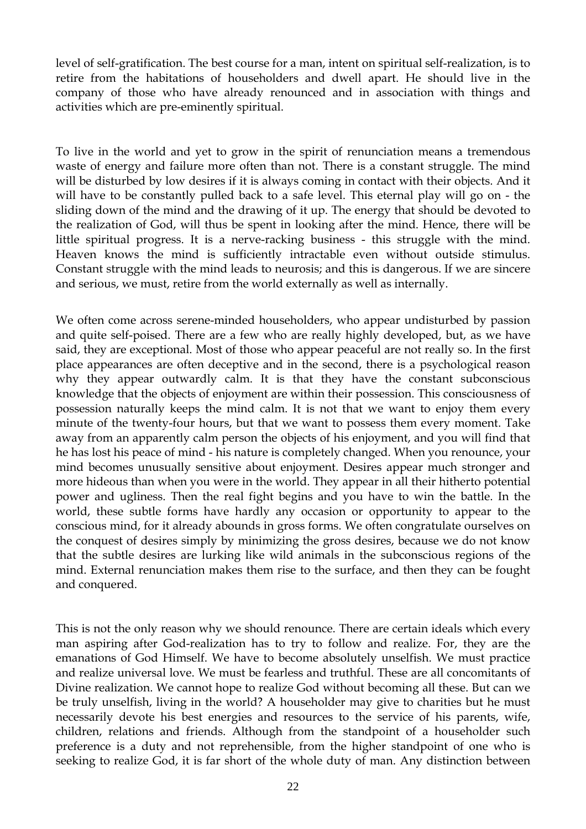level of self-gratification. The best course for a man, intent on spiritual self-realization, is to retire from the habitations of householders and dwell apart. He should live in the company of those who have already renounced and in association with things and activities which are pre-eminently spiritual.

To live in the world and yet to grow in the spirit of renunciation means a tremendous waste of energy and failure more often than not. There is a constant struggle. The mind will be disturbed by low desires if it is always coming in contact with their objects. And it will have to be constantly pulled back to a safe level. This eternal play will go on - the sliding down of the mind and the drawing of it up. The energy that should be devoted to the realization of God, will thus be spent in looking after the mind. Hence, there will be little spiritual progress. It is a nerve-racking business - this struggle with the mind. Heaven knows the mind is sufficiently intractable even without outside stimulus. Constant struggle with the mind leads to neurosis; and this is dangerous. If we are sincere and serious, we must, retire from the world externally as well as internally.

We often come across serene-minded householders, who appear undisturbed by passion and quite self-poised. There are a few who are really highly developed, but, as we have said, they are exceptional. Most of those who appear peaceful are not really so. In the first place appearances are often deceptive and in the second, there is a psychological reason why they appear outwardly calm. It is that they have the constant subconscious knowledge that the objects of enjoyment are within their possession. This consciousness of possession naturally keeps the mind calm. It is not that we want to enjoy them every minute of the twenty-four hours, but that we want to possess them every moment. Take away from an apparently calm person the objects of his enjoyment, and you will find that he has lost his peace of mind - his nature is completely changed. When you renounce, your mind becomes unusually sensitive about enjoyment. Desires appear much stronger and more hideous than when you were in the world. They appear in all their hitherto potential power and ugliness. Then the real fight begins and you have to win the battle. In the world, these subtle forms have hardly any occasion or opportunity to appear to the conscious mind, for it already abounds in gross forms. We often congratulate ourselves on the conquest of desires simply by minimizing the gross desires, because we do not know that the subtle desires are lurking like wild animals in the subconscious regions of the mind. External renunciation makes them rise to the surface, and then they can be fought and conquered.

This is not the only reason why we should renounce. There are certain ideals which every man aspiring after God-realization has to try to follow and realize. For, they are the emanations of God Himself. We have to become absolutely unselfish. We must practice and realize universal love. We must be fearless and truthful. These are all concomitants of Divine realization. We cannot hope to realize God without becoming all these. But can we be truly unselfish, living in the world? A householder may give to charities but he must necessarily devote his best energies and resources to the service of his parents, wife, children, relations and friends. Although from the standpoint of a householder such preference is a duty and not reprehensible, from the higher standpoint of one who is seeking to realize God, it is far short of the whole duty of man. Any distinction between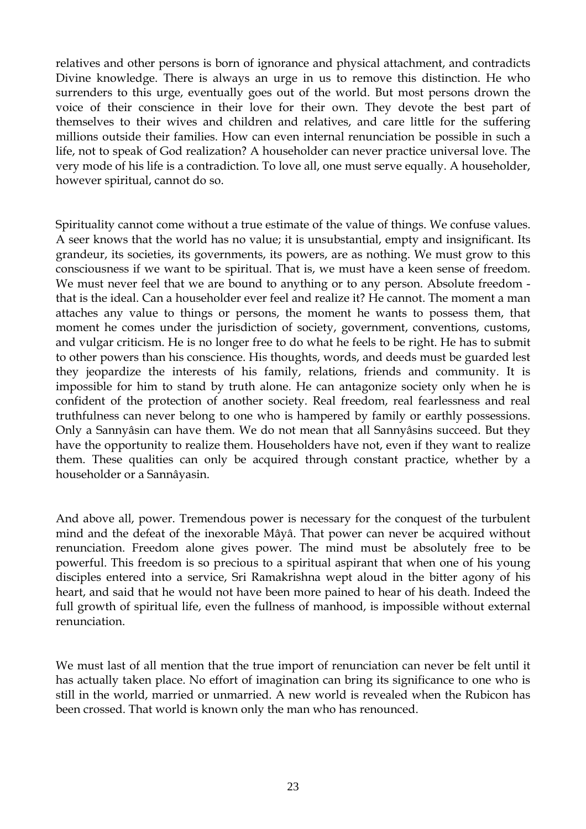relatives and other persons is born of ignorance and physical attachment, and contradicts Divine knowledge. There is always an urge in us to remove this distinction. He who surrenders to this urge, eventually goes out of the world. But most persons drown the voice of their conscience in their love for their own. They devote the best part of themselves to their wives and children and relatives, and care little for the suffering millions outside their families. How can even internal renunciation be possible in such a life, not to speak of God realization? A householder can never practice universal love. The very mode of his life is a contradiction. To love all, one must serve equally. A householder, however spiritual, cannot do so.

Spirituality cannot come without a true estimate of the value of things. We confuse values. A seer knows that the world has no value; it is unsubstantial, empty and insignificant. Its grandeur, its societies, its governments, its powers, are as nothing. We must grow to this consciousness if we want to be spiritual. That is, we must have a keen sense of freedom. We must never feel that we are bound to anything or to any person. Absolute freedom that is the ideal. Can a householder ever feel and realize it? He cannot. The moment a man attaches any value to things or persons, the moment he wants to possess them, that moment he comes under the jurisdiction of society, government, conventions, customs, and vulgar criticism. He is no longer free to do what he feels to be right. He has to submit to other powers than his conscience. His thoughts, words, and deeds must be guarded lest they jeopardize the interests of his family, relations, friends and community. It is impossible for him to stand by truth alone. He can antagonize society only when he is confident of the protection of another society. Real freedom, real fearlessness and real truthfulness can never belong to one who is hampered by family or earthly possessions. Only a Sannyâsin can have them. We do not mean that all Sannyâsins succeed. But they have the opportunity to realize them. Householders have not, even if they want to realize them. These qualities can only be acquired through constant practice, whether by a householder or a Sannâyasin.

And above all, power. Tremendous power is necessary for the conquest of the turbulent mind and the defeat of the inexorable Mâyâ. That power can never be acquired without renunciation. Freedom alone gives power. The mind must be absolutely free to be powerful. This freedom is so precious to a spiritual aspirant that when one of his young disciples entered into a service, Sri Ramakrishna wept aloud in the bitter agony of his heart, and said that he would not have been more pained to hear of his death. Indeed the full growth of spiritual life, even the fullness of manhood, is impossible without external renunciation.

We must last of all mention that the true import of renunciation can never be felt until it has actually taken place. No effort of imagination can bring its significance to one who is still in the world, married or unmarried. A new world is revealed when the Rubicon has been crossed. That world is known only the man who has renounced.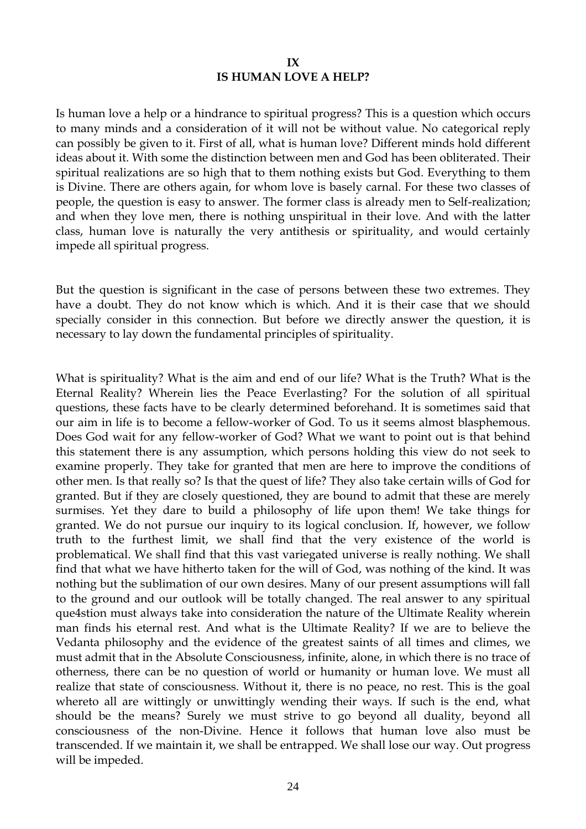#### **IX IS HUMAN LOVE A HELP?**

Is human love a help or a hindrance to spiritual progress? This is a question which occurs to many minds and a consideration of it will not be without value. No categorical reply can possibly be given to it. First of all, what is human love? Different minds hold different ideas about it. With some the distinction between men and God has been obliterated. Their spiritual realizations are so high that to them nothing exists but God. Everything to them is Divine. There are others again, for whom love is basely carnal. For these two classes of people, the question is easy to answer. The former class is already men to Self-realization; and when they love men, there is nothing unspiritual in their love. And with the latter class, human love is naturally the very antithesis or spirituality, and would certainly impede all spiritual progress.

But the question is significant in the case of persons between these two extremes. They have a doubt. They do not know which is which. And it is their case that we should specially consider in this connection. But before we directly answer the question, it is necessary to lay down the fundamental principles of spirituality.

What is spirituality? What is the aim and end of our life? What is the Truth? What is the Eternal Reality? Wherein lies the Peace Everlasting? For the solution of all spiritual questions, these facts have to be clearly determined beforehand. It is sometimes said that our aim in life is to become a fellow-worker of God. To us it seems almost blasphemous. Does God wait for any fellow-worker of God? What we want to point out is that behind this statement there is any assumption, which persons holding this view do not seek to examine properly. They take for granted that men are here to improve the conditions of other men. Is that really so? Is that the quest of life? They also take certain wills of God for granted. But if they are closely questioned, they are bound to admit that these are merely surmises. Yet they dare to build a philosophy of life upon them! We take things for granted. We do not pursue our inquiry to its logical conclusion. If, however, we follow truth to the furthest limit, we shall find that the very existence of the world is problematical. We shall find that this vast variegated universe is really nothing. We shall find that what we have hitherto taken for the will of God, was nothing of the kind. It was nothing but the sublimation of our own desires. Many of our present assumptions will fall to the ground and our outlook will be totally changed. The real answer to any spiritual que4stion must always take into consideration the nature of the Ultimate Reality wherein man finds his eternal rest. And what is the Ultimate Reality? If we are to believe the Vedanta philosophy and the evidence of the greatest saints of all times and climes, we must admit that in the Absolute Consciousness, infinite, alone, in which there is no trace of otherness, there can be no question of world or humanity or human love. We must all realize that state of consciousness. Without it, there is no peace, no rest. This is the goal whereto all are wittingly or unwittingly wending their ways. If such is the end, what should be the means? Surely we must strive to go beyond all duality, beyond all consciousness of the non-Divine. Hence it follows that human love also must be transcended. If we maintain it, we shall be entrapped. We shall lose our way. Out progress will be impeded.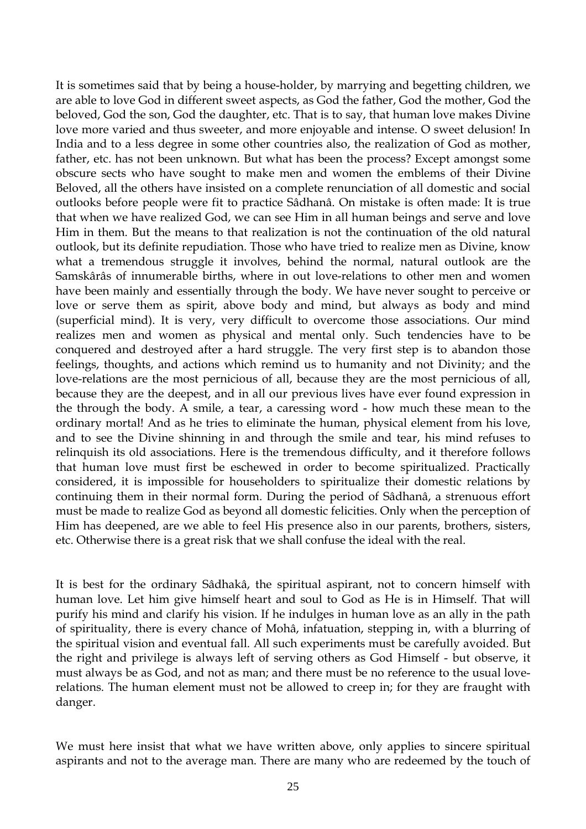It is sometimes said that by being a house-holder, by marrying and begetting children, we are able to love God in different sweet aspects, as God the father, God the mother, God the beloved, God the son, God the daughter, etc. That is to say, that human love makes Divine love more varied and thus sweeter, and more enjoyable and intense. O sweet delusion! In India and to a less degree in some other countries also, the realization of God as mother, father, etc. has not been unknown. But what has been the process? Except amongst some obscure sects who have sought to make men and women the emblems of their Divine Beloved, all the others have insisted on a complete renunciation of all domestic and social outlooks before people were fit to practice Sâdhanâ. On mistake is often made: It is true that when we have realized God, we can see Him in all human beings and serve and love Him in them. But the means to that realization is not the continuation of the old natural outlook, but its definite repudiation. Those who have tried to realize men as Divine, know what a tremendous struggle it involves, behind the normal, natural outlook are the Samskârâs of innumerable births, where in out love-relations to other men and women have been mainly and essentially through the body. We have never sought to perceive or love or serve them as spirit, above body and mind, but always as body and mind (superficial mind). It is very, very difficult to overcome those associations. Our mind realizes men and women as physical and mental only. Such tendencies have to be conquered and destroyed after a hard struggle. The very first step is to abandon those feelings, thoughts, and actions which remind us to humanity and not Divinity; and the love-relations are the most pernicious of all, because they are the most pernicious of all, because they are the deepest, and in all our previous lives have ever found expression in the through the body. A smile, a tear, a caressing word - how much these mean to the ordinary mortal! And as he tries to eliminate the human, physical element from his love, and to see the Divine shinning in and through the smile and tear, his mind refuses to relinquish its old associations. Here is the tremendous difficulty, and it therefore follows that human love must first be eschewed in order to become spiritualized. Practically considered, it is impossible for householders to spiritualize their domestic relations by continuing them in their normal form. During the period of Sâdhanâ, a strenuous effort must be made to realize God as beyond all domestic felicities. Only when the perception of Him has deepened, are we able to feel His presence also in our parents, brothers, sisters, etc. Otherwise there is a great risk that we shall confuse the ideal with the real.

It is best for the ordinary Sâdhakâ, the spiritual aspirant, not to concern himself with human love. Let him give himself heart and soul to God as He is in Himself. That will purify his mind and clarify his vision. If he indulges in human love as an ally in the path of spirituality, there is every chance of Mohâ, infatuation, stepping in, with a blurring of the spiritual vision and eventual fall. All such experiments must be carefully avoided. But the right and privilege is always left of serving others as God Himself - but observe, it must always be as God, and not as man; and there must be no reference to the usual loverelations. The human element must not be allowed to creep in; for they are fraught with danger.

We must here insist that what we have written above, only applies to sincere spiritual aspirants and not to the average man. There are many who are redeemed by the touch of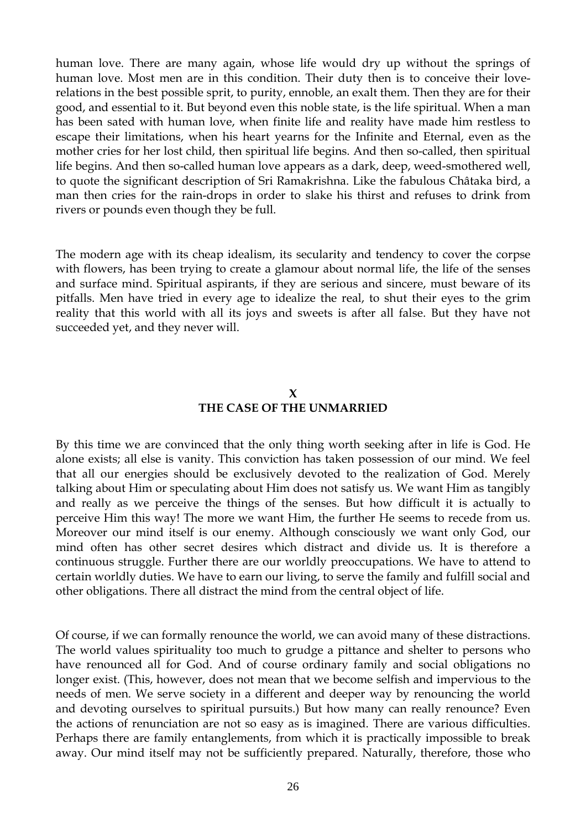human love. There are many again, whose life would dry up without the springs of human love. Most men are in this condition. Their duty then is to conceive their loverelations in the best possible sprit, to purity, ennoble, an exalt them. Then they are for their good, and essential to it. But beyond even this noble state, is the life spiritual. When a man has been sated with human love, when finite life and reality have made him restless to escape their limitations, when his heart yearns for the Infinite and Eternal, even as the mother cries for her lost child, then spiritual life begins. And then so-called, then spiritual life begins. And then so-called human love appears as a dark, deep, weed-smothered well, to quote the significant description of Sri Ramakrishna. Like the fabulous Châtaka bird, a man then cries for the rain-drops in order to slake his thirst and refuses to drink from rivers or pounds even though they be full.

The modern age with its cheap idealism, its secularity and tendency to cover the corpse with flowers, has been trying to create a glamour about normal life, the life of the senses and surface mind. Spiritual aspirants, if they are serious and sincere, must beware of its pitfalls. Men have tried in every age to idealize the real, to shut their eyes to the grim reality that this world with all its joys and sweets is after all false. But they have not succeeded yet, and they never will.

### **X THE CASE OF THE UNMARRIED**

By this time we are convinced that the only thing worth seeking after in life is God. He alone exists; all else is vanity. This conviction has taken possession of our mind. We feel that all our energies should be exclusively devoted to the realization of God. Merely talking about Him or speculating about Him does not satisfy us. We want Him as tangibly and really as we perceive the things of the senses. But how difficult it is actually to perceive Him this way! The more we want Him, the further He seems to recede from us. Moreover our mind itself is our enemy. Although consciously we want only God, our mind often has other secret desires which distract and divide us. It is therefore a continuous struggle. Further there are our worldly preoccupations. We have to attend to certain worldly duties. We have to earn our living, to serve the family and fulfill social and other obligations. There all distract the mind from the central object of life.

Of course, if we can formally renounce the world, we can avoid many of these distractions. The world values spirituality too much to grudge a pittance and shelter to persons who have renounced all for God. And of course ordinary family and social obligations no longer exist. (This, however, does not mean that we become selfish and impervious to the needs of men. We serve society in a different and deeper way by renouncing the world and devoting ourselves to spiritual pursuits.) But how many can really renounce? Even the actions of renunciation are not so easy as is imagined. There are various difficulties. Perhaps there are family entanglements, from which it is practically impossible to break away. Our mind itself may not be sufficiently prepared. Naturally, therefore, those who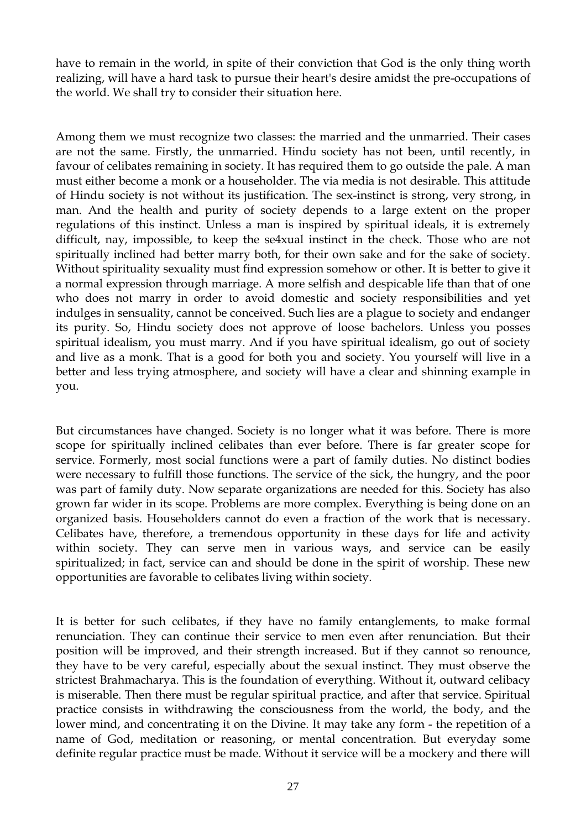have to remain in the world, in spite of their conviction that God is the only thing worth realizing, will have a hard task to pursue their heart's desire amidst the pre-occupations of the world. We shall try to consider their situation here.

Among them we must recognize two classes: the married and the unmarried. Their cases are not the same. Firstly, the unmarried. Hindu society has not been, until recently, in favour of celibates remaining in society. It has required them to go outside the pale. A man must either become a monk or a householder. The via media is not desirable. This attitude of Hindu society is not without its justification. The sex-instinct is strong, very strong, in man. And the health and purity of society depends to a large extent on the proper regulations of this instinct. Unless a man is inspired by spiritual ideals, it is extremely difficult, nay, impossible, to keep the se4xual instinct in the check. Those who are not spiritually inclined had better marry both, for their own sake and for the sake of society. Without spirituality sexuality must find expression somehow or other. It is better to give it a normal expression through marriage. A more selfish and despicable life than that of one who does not marry in order to avoid domestic and society responsibilities and yet indulges in sensuality, cannot be conceived. Such lies are a plague to society and endanger its purity. So, Hindu society does not approve of loose bachelors. Unless you posses spiritual idealism, you must marry. And if you have spiritual idealism, go out of society and live as a monk. That is a good for both you and society. You yourself will live in a better and less trying atmosphere, and society will have a clear and shinning example in you.

But circumstances have changed. Society is no longer what it was before. There is more scope for spiritually inclined celibates than ever before. There is far greater scope for service. Formerly, most social functions were a part of family duties. No distinct bodies were necessary to fulfill those functions. The service of the sick, the hungry, and the poor was part of family duty. Now separate organizations are needed for this. Society has also grown far wider in its scope. Problems are more complex. Everything is being done on an organized basis. Householders cannot do even a fraction of the work that is necessary. Celibates have, therefore, a tremendous opportunity in these days for life and activity within society. They can serve men in various ways, and service can be easily spiritualized; in fact, service can and should be done in the spirit of worship. These new opportunities are favorable to celibates living within society.

It is better for such celibates, if they have no family entanglements, to make formal renunciation. They can continue their service to men even after renunciation. But their position will be improved, and their strength increased. But if they cannot so renounce, they have to be very careful, especially about the sexual instinct. They must observe the strictest Brahmacharya. This is the foundation of everything. Without it, outward celibacy is miserable. Then there must be regular spiritual practice, and after that service. Spiritual practice consists in withdrawing the consciousness from the world, the body, and the lower mind, and concentrating it on the Divine. It may take any form - the repetition of a name of God, meditation or reasoning, or mental concentration. But everyday some definite regular practice must be made. Without it service will be a mockery and there will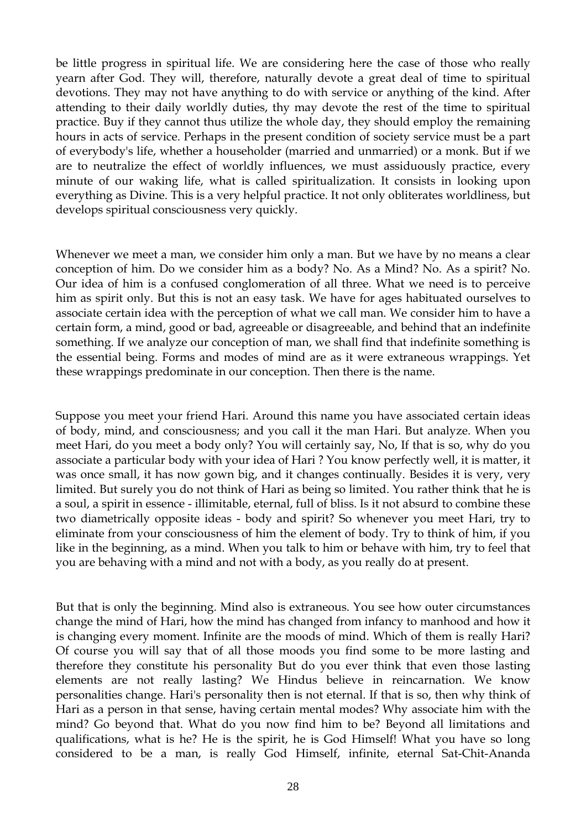be little progress in spiritual life. We are considering here the case of those who really yearn after God. They will, therefore, naturally devote a great deal of time to spiritual devotions. They may not have anything to do with service or anything of the kind. After attending to their daily worldly duties, thy may devote the rest of the time to spiritual practice. Buy if they cannot thus utilize the whole day, they should employ the remaining hours in acts of service. Perhaps in the present condition of society service must be a part of everybody's life, whether a householder (married and unmarried) or a monk. But if we are to neutralize the effect of worldly influences, we must assiduously practice, every minute of our waking life, what is called spiritualization. It consists in looking upon everything as Divine. This is a very helpful practice. It not only obliterates worldliness, but develops spiritual consciousness very quickly.

Whenever we meet a man, we consider him only a man. But we have by no means a clear conception of him. Do we consider him as a body? No. As a Mind? No. As a spirit? No. Our idea of him is a confused conglomeration of all three. What we need is to perceive him as spirit only. But this is not an easy task. We have for ages habituated ourselves to associate certain idea with the perception of what we call man. We consider him to have a certain form, a mind, good or bad, agreeable or disagreeable, and behind that an indefinite something. If we analyze our conception of man, we shall find that indefinite something is the essential being. Forms and modes of mind are as it were extraneous wrappings. Yet these wrappings predominate in our conception. Then there is the name.

Suppose you meet your friend Hari. Around this name you have associated certain ideas of body, mind, and consciousness; and you call it the man Hari. But analyze. When you meet Hari, do you meet a body only? You will certainly say, No, If that is so, why do you associate a particular body with your idea of Hari ? You know perfectly well, it is matter, it was once small, it has now gown big, and it changes continually. Besides it is very, very limited. But surely you do not think of Hari as being so limited. You rather think that he is a soul, a spirit in essence - illimitable, eternal, full of bliss. Is it not absurd to combine these two diametrically opposite ideas - body and spirit? So whenever you meet Hari, try to eliminate from your consciousness of him the element of body. Try to think of him, if you like in the beginning, as a mind. When you talk to him or behave with him, try to feel that you are behaving with a mind and not with a body, as you really do at present.

But that is only the beginning. Mind also is extraneous. You see how outer circumstances change the mind of Hari, how the mind has changed from infancy to manhood and how it is changing every moment. Infinite are the moods of mind. Which of them is really Hari? Of course you will say that of all those moods you find some to be more lasting and therefore they constitute his personality But do you ever think that even those lasting elements are not really lasting? We Hindus believe in reincarnation. We know personalities change. Hari's personality then is not eternal. If that is so, then why think of Hari as a person in that sense, having certain mental modes? Why associate him with the mind? Go beyond that. What do you now find him to be? Beyond all limitations and qualifications, what is he? He is the spirit, he is God Himself! What you have so long considered to be a man, is really God Himself, infinite, eternal Sat-Chit-Ananda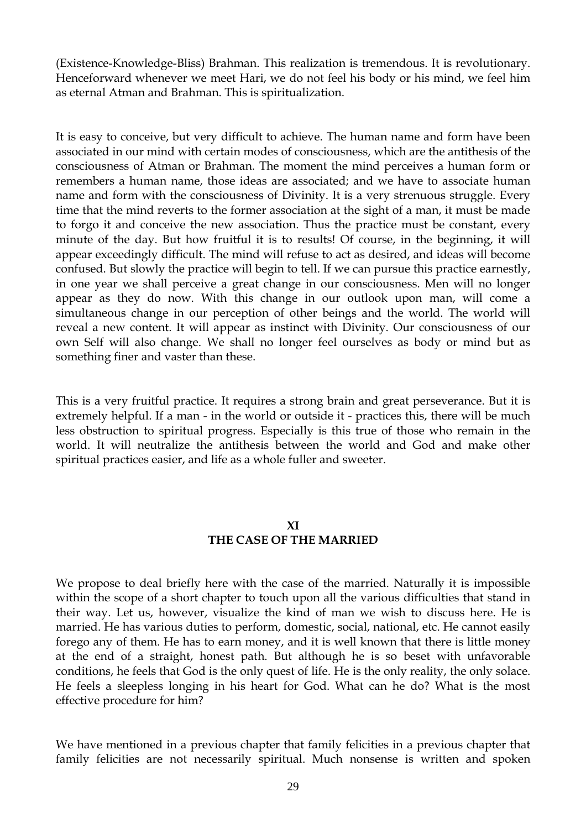(Existence-Knowledge-Bliss) Brahman. This realization is tremendous. It is revolutionary. Henceforward whenever we meet Hari, we do not feel his body or his mind, we feel him as eternal Atman and Brahman. This is spiritualization.

It is easy to conceive, but very difficult to achieve. The human name and form have been associated in our mind with certain modes of consciousness, which are the antithesis of the consciousness of Atman or Brahman. The moment the mind perceives a human form or remembers a human name, those ideas are associated; and we have to associate human name and form with the consciousness of Divinity. It is a very strenuous struggle. Every time that the mind reverts to the former association at the sight of a man, it must be made to forgo it and conceive the new association. Thus the practice must be constant, every minute of the day. But how fruitful it is to results! Of course, in the beginning, it will appear exceedingly difficult. The mind will refuse to act as desired, and ideas will become confused. But slowly the practice will begin to tell. If we can pursue this practice earnestly, in one year we shall perceive a great change in our consciousness. Men will no longer appear as they do now. With this change in our outlook upon man, will come a simultaneous change in our perception of other beings and the world. The world will reveal a new content. It will appear as instinct with Divinity. Our consciousness of our own Self will also change. We shall no longer feel ourselves as body or mind but as something finer and vaster than these.

This is a very fruitful practice. It requires a strong brain and great perseverance. But it is extremely helpful. If a man - in the world or outside it - practices this, there will be much less obstruction to spiritual progress. Especially is this true of those who remain in the world. It will neutralize the antithesis between the world and God and make other spiritual practices easier, and life as a whole fuller and sweeter.

### **XI THE CASE OF THE MARRIED**

We propose to deal briefly here with the case of the married. Naturally it is impossible within the scope of a short chapter to touch upon all the various difficulties that stand in their way. Let us, however, visualize the kind of man we wish to discuss here. He is married. He has various duties to perform, domestic, social, national, etc. He cannot easily forego any of them. He has to earn money, and it is well known that there is little money at the end of a straight, honest path. But although he is so beset with unfavorable conditions, he feels that God is the only quest of life. He is the only reality, the only solace. He feels a sleepless longing in his heart for God. What can he do? What is the most effective procedure for him?

We have mentioned in a previous chapter that family felicities in a previous chapter that family felicities are not necessarily spiritual. Much nonsense is written and spoken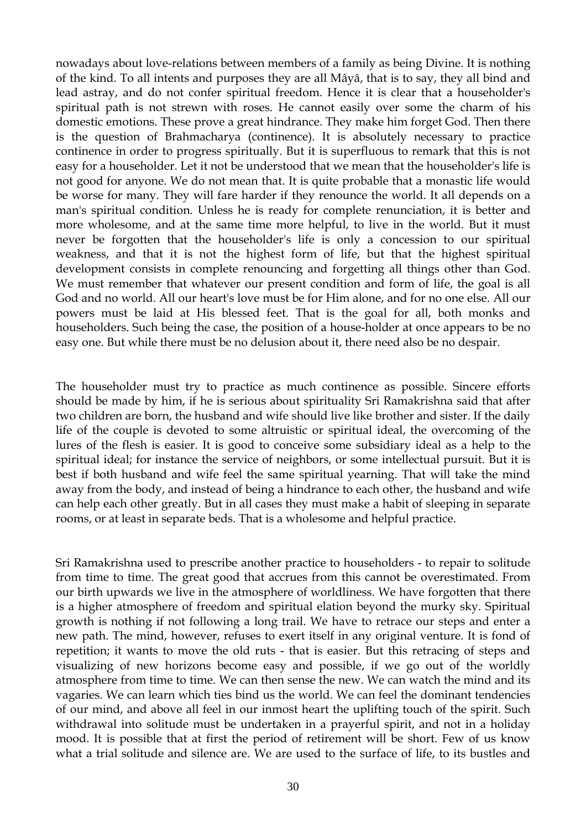nowadays about love-relations between members of a family as being Divine. It is nothing of the kind. To all intents and purposes they are all Mâyâ, that is to say, they all bind and lead astray, and do not confer spiritual freedom. Hence it is clear that a householder's spiritual path is not strewn with roses. He cannot easily over some the charm of his domestic emotions. These prove a great hindrance. They make him forget God. Then there is the question of Brahmacharya (continence). It is absolutely necessary to practice continence in order to progress spiritually. But it is superfluous to remark that this is not easy for a householder. Let it not be understood that we mean that the householder's life is not good for anyone. We do not mean that. It is quite probable that a monastic life would be worse for many. They will fare harder if they renounce the world. It all depends on a man's spiritual condition. Unless he is ready for complete renunciation, it is better and more wholesome, and at the same time more helpful, to live in the world. But it must never be forgotten that the householder's life is only a concession to our spiritual weakness, and that it is not the highest form of life, but that the highest spiritual development consists in complete renouncing and forgetting all things other than God. We must remember that whatever our present condition and form of life, the goal is all God and no world. All our heart's love must be for Him alone, and for no one else. All our powers must be laid at His blessed feet. That is the goal for all, both monks and householders. Such being the case, the position of a house-holder at once appears to be no easy one. But while there must be no delusion about it, there need also be no despair.

The householder must try to practice as much continence as possible. Sincere efforts should be made by him, if he is serious about spirituality Sri Ramakrishna said that after two children are born, the husband and wife should live like brother and sister. If the daily life of the couple is devoted to some altruistic or spiritual ideal, the overcoming of the lures of the flesh is easier. It is good to conceive some subsidiary ideal as a help to the spiritual ideal; for instance the service of neighbors, or some intellectual pursuit. But it is best if both husband and wife feel the same spiritual yearning. That will take the mind away from the body, and instead of being a hindrance to each other, the husband and wife can help each other greatly. But in all cases they must make a habit of sleeping in separate rooms, or at least in separate beds. That is a wholesome and helpful practice.

Sri Ramakrishna used to prescribe another practice to householders - to repair to solitude from time to time. The great good that accrues from this cannot be overestimated. From our birth upwards we live in the atmosphere of worldliness. We have forgotten that there is a higher atmosphere of freedom and spiritual elation beyond the murky sky. Spiritual growth is nothing if not following a long trail. We have to retrace our steps and enter a new path. The mind, however, refuses to exert itself in any original venture. It is fond of repetition; it wants to move the old ruts - that is easier. But this retracing of steps and visualizing of new horizons become easy and possible, if we go out of the worldly atmosphere from time to time. We can then sense the new. We can watch the mind and its vagaries. We can learn which ties bind us the world. We can feel the dominant tendencies of our mind, and above all feel in our inmost heart the uplifting touch of the spirit. Such withdrawal into solitude must be undertaken in a prayerful spirit, and not in a holiday mood. It is possible that at first the period of retirement will be short. Few of us know what a trial solitude and silence are. We are used to the surface of life, to its bustles and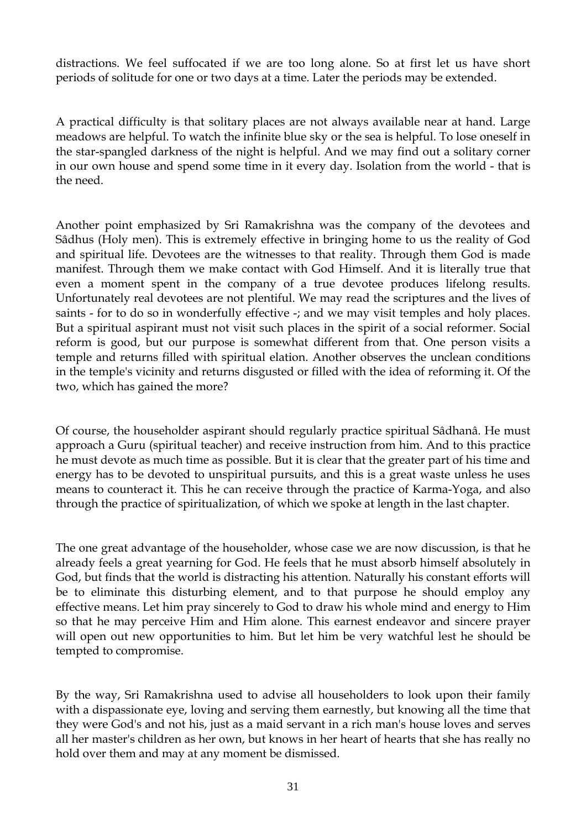distractions. We feel suffocated if we are too long alone. So at first let us have short periods of solitude for one or two days at a time. Later the periods may be extended.

A practical difficulty is that solitary places are not always available near at hand. Large meadows are helpful. To watch the infinite blue sky or the sea is helpful. To lose oneself in the star-spangled darkness of the night is helpful. And we may find out a solitary corner in our own house and spend some time in it every day. Isolation from the world - that is the need.

Another point emphasized by Sri Ramakrishna was the company of the devotees and Sâdhus (Holy men). This is extremely effective in bringing home to us the reality of God and spiritual life. Devotees are the witnesses to that reality. Through them God is made manifest. Through them we make contact with God Himself. And it is literally true that even a moment spent in the company of a true devotee produces lifelong results. Unfortunately real devotees are not plentiful. We may read the scriptures and the lives of saints - for to do so in wonderfully effective -; and we may visit temples and holy places. But a spiritual aspirant must not visit such places in the spirit of a social reformer. Social reform is good, but our purpose is somewhat different from that. One person visits a temple and returns filled with spiritual elation. Another observes the unclean conditions in the temple's vicinity and returns disgusted or filled with the idea of reforming it. Of the two, which has gained the more?

Of course, the householder aspirant should regularly practice spiritual Sâdhanâ. He must approach a Guru (spiritual teacher) and receive instruction from him. And to this practice he must devote as much time as possible. But it is clear that the greater part of his time and energy has to be devoted to unspiritual pursuits, and this is a great waste unless he uses means to counteract it. This he can receive through the practice of Karma-Yoga, and also through the practice of spiritualization, of which we spoke at length in the last chapter.

The one great advantage of the householder, whose case we are now discussion, is that he already feels a great yearning for God. He feels that he must absorb himself absolutely in God, but finds that the world is distracting his attention. Naturally his constant efforts will be to eliminate this disturbing element, and to that purpose he should employ any effective means. Let him pray sincerely to God to draw his whole mind and energy to Him so that he may perceive Him and Him alone. This earnest endeavor and sincere prayer will open out new opportunities to him. But let him be very watchful lest he should be tempted to compromise.

By the way, Sri Ramakrishna used to advise all householders to look upon their family with a dispassionate eye, loving and serving them earnestly, but knowing all the time that they were God's and not his, just as a maid servant in a rich man's house loves and serves all her master's children as her own, but knows in her heart of hearts that she has really no hold over them and may at any moment be dismissed.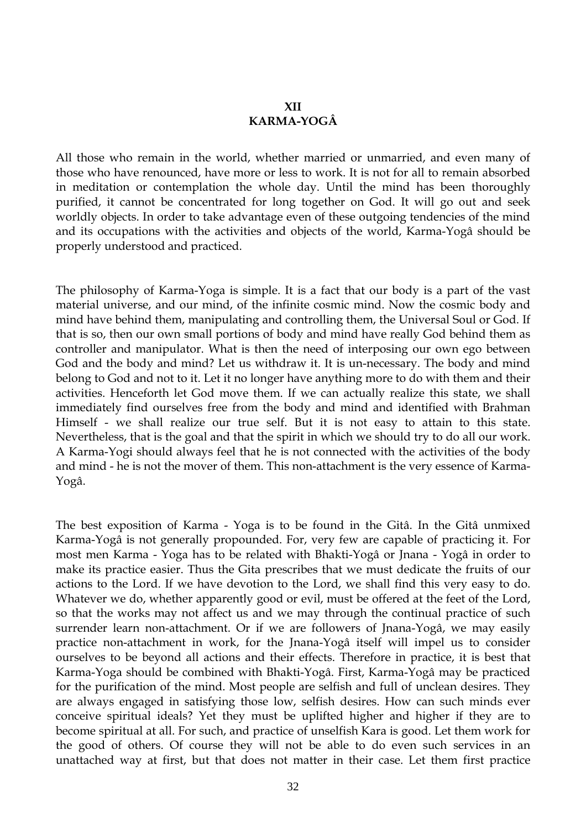### **XII KARMA-YOGÂ**

All those who remain in the world, whether married or unmarried, and even many of those who have renounced, have more or less to work. It is not for all to remain absorbed in meditation or contemplation the whole day. Until the mind has been thoroughly purified, it cannot be concentrated for long together on God. It will go out and seek worldly objects. In order to take advantage even of these outgoing tendencies of the mind and its occupations with the activities and objects of the world, Karma-Yogâ should be properly understood and practiced.

The philosophy of Karma-Yoga is simple. It is a fact that our body is a part of the vast material universe, and our mind, of the infinite cosmic mind. Now the cosmic body and mind have behind them, manipulating and controlling them, the Universal Soul or God. If that is so, then our own small portions of body and mind have really God behind them as controller and manipulator. What is then the need of interposing our own ego between God and the body and mind? Let us withdraw it. It is un-necessary. The body and mind belong to God and not to it. Let it no longer have anything more to do with them and their activities. Henceforth let God move them. If we can actually realize this state, we shall immediately find ourselves free from the body and mind and identified with Brahman Himself - we shall realize our true self. But it is not easy to attain to this state. Nevertheless, that is the goal and that the spirit in which we should try to do all our work. A Karma-Yogi should always feel that he is not connected with the activities of the body and mind - he is not the mover of them. This non-attachment is the very essence of Karma-Yogâ.

The best exposition of Karma - Yoga is to be found in the Gitâ. In the Gitâ unmixed Karma-Yogâ is not generally propounded. For, very few are capable of practicing it. For most men Karma - Yoga has to be related with Bhakti-Yogâ or Jnana - Yogâ in order to make its practice easier. Thus the Gita prescribes that we must dedicate the fruits of our actions to the Lord. If we have devotion to the Lord, we shall find this very easy to do. Whatever we do, whether apparently good or evil, must be offered at the feet of the Lord, so that the works may not affect us and we may through the continual practice of such surrender learn non-attachment. Or if we are followers of Jnana-Yogâ, we may easily practice non-attachment in work, for the Jnana-Yogâ itself will impel us to consider ourselves to be beyond all actions and their effects. Therefore in practice, it is best that Karma-Yoga should be combined with Bhakti-Yogâ. First, Karma-Yogâ may be practiced for the purification of the mind. Most people are selfish and full of unclean desires. They are always engaged in satisfying those low, selfish desires. How can such minds ever conceive spiritual ideals? Yet they must be uplifted higher and higher if they are to become spiritual at all. For such, and practice of unselfish Kara is good. Let them work for the good of others. Of course they will not be able to do even such services in an unattached way at first, but that does not matter in their case. Let them first practice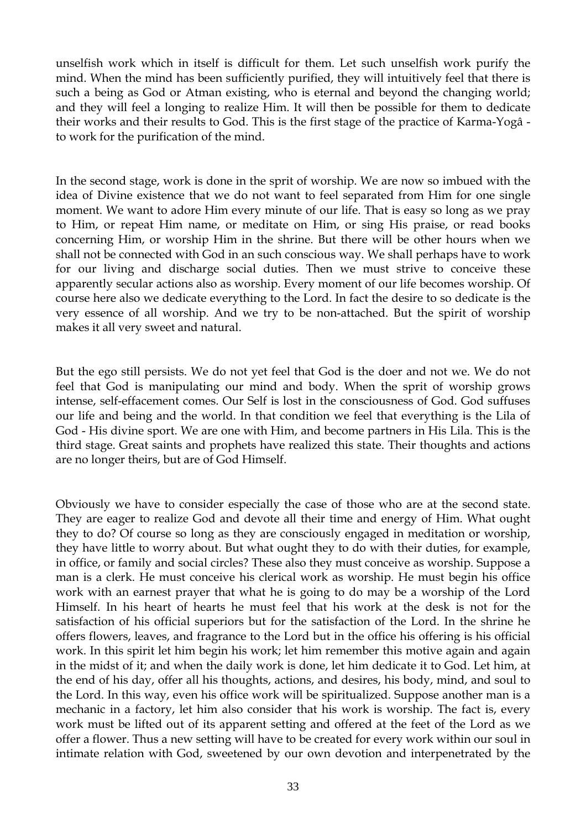unselfish work which in itself is difficult for them. Let such unselfish work purify the mind. When the mind has been sufficiently purified, they will intuitively feel that there is such a being as God or Atman existing, who is eternal and beyond the changing world; and they will feel a longing to realize Him. It will then be possible for them to dedicate their works and their results to God. This is the first stage of the practice of Karma-Yogâ to work for the purification of the mind.

In the second stage, work is done in the sprit of worship. We are now so imbued with the idea of Divine existence that we do not want to feel separated from Him for one single moment. We want to adore Him every minute of our life. That is easy so long as we pray to Him, or repeat Him name, or meditate on Him, or sing His praise, or read books concerning Him, or worship Him in the shrine. But there will be other hours when we shall not be connected with God in an such conscious way. We shall perhaps have to work for our living and discharge social duties. Then we must strive to conceive these apparently secular actions also as worship. Every moment of our life becomes worship. Of course here also we dedicate everything to the Lord. In fact the desire to so dedicate is the very essence of all worship. And we try to be non-attached. But the spirit of worship makes it all very sweet and natural.

But the ego still persists. We do not yet feel that God is the doer and not we. We do not feel that God is manipulating our mind and body. When the sprit of worship grows intense, self-effacement comes. Our Self is lost in the consciousness of God. God suffuses our life and being and the world. In that condition we feel that everything is the Lila of God - His divine sport. We are one with Him, and become partners in His Lila. This is the third stage. Great saints and prophets have realized this state. Their thoughts and actions are no longer theirs, but are of God Himself.

Obviously we have to consider especially the case of those who are at the second state. They are eager to realize God and devote all their time and energy of Him. What ought they to do? Of course so long as they are consciously engaged in meditation or worship, they have little to worry about. But what ought they to do with their duties, for example, in office, or family and social circles? These also they must conceive as worship. Suppose a man is a clerk. He must conceive his clerical work as worship. He must begin his office work with an earnest prayer that what he is going to do may be a worship of the Lord Himself. In his heart of hearts he must feel that his work at the desk is not for the satisfaction of his official superiors but for the satisfaction of the Lord. In the shrine he offers flowers, leaves, and fragrance to the Lord but in the office his offering is his official work. In this spirit let him begin his work; let him remember this motive again and again in the midst of it; and when the daily work is done, let him dedicate it to God. Let him, at the end of his day, offer all his thoughts, actions, and desires, his body, mind, and soul to the Lord. In this way, even his office work will be spiritualized. Suppose another man is a mechanic in a factory, let him also consider that his work is worship. The fact is, every work must be lifted out of its apparent setting and offered at the feet of the Lord as we offer a flower. Thus a new setting will have to be created for every work within our soul in intimate relation with God, sweetened by our own devotion and interpenetrated by the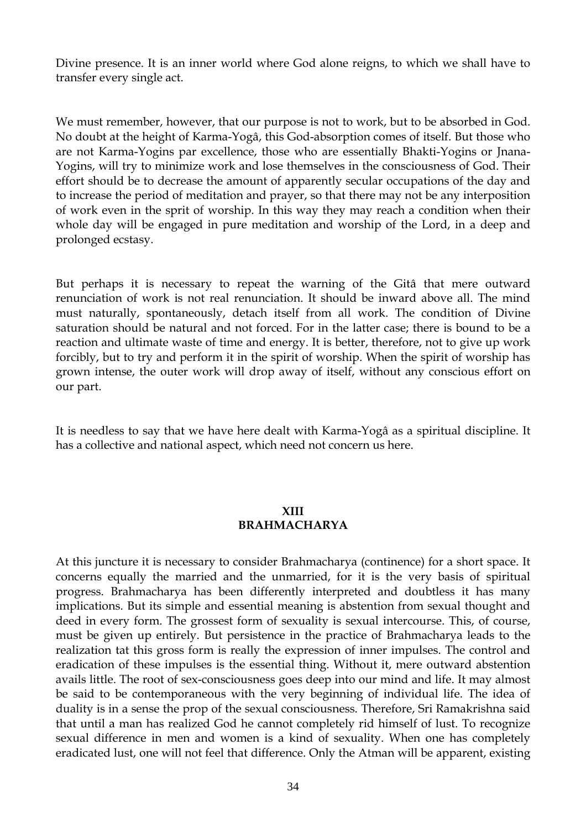Divine presence. It is an inner world where God alone reigns, to which we shall have to transfer every single act.

We must remember, however, that our purpose is not to work, but to be absorbed in God. No doubt at the height of Karma-Yogâ, this God-absorption comes of itself. But those who are not Karma-Yogins par excellence, those who are essentially Bhakti-Yogins or Jnana-Yogins, will try to minimize work and lose themselves in the consciousness of God. Their effort should be to decrease the amount of apparently secular occupations of the day and to increase the period of meditation and prayer, so that there may not be any interposition of work even in the sprit of worship. In this way they may reach a condition when their whole day will be engaged in pure meditation and worship of the Lord, in a deep and prolonged ecstasy.

But perhaps it is necessary to repeat the warning of the Gitâ that mere outward renunciation of work is not real renunciation. It should be inward above all. The mind must naturally, spontaneously, detach itself from all work. The condition of Divine saturation should be natural and not forced. For in the latter case; there is bound to be a reaction and ultimate waste of time and energy. It is better, therefore, not to give up work forcibly, but to try and perform it in the spirit of worship. When the spirit of worship has grown intense, the outer work will drop away of itself, without any conscious effort on our part.

It is needless to say that we have here dealt with Karma-Yogâ as a spiritual discipline. It has a collective and national aspect, which need not concern us here.

#### **XIII**

#### **BRAHMACHARYA**

At this juncture it is necessary to consider Brahmacharya (continence) for a short space. It concerns equally the married and the unmarried, for it is the very basis of spiritual progress. Brahmacharya has been differently interpreted and doubtless it has many implications. But its simple and essential meaning is abstention from sexual thought and deed in every form. The grossest form of sexuality is sexual intercourse. This, of course, must be given up entirely. But persistence in the practice of Brahmacharya leads to the realization tat this gross form is really the expression of inner impulses. The control and eradication of these impulses is the essential thing. Without it, mere outward abstention avails little. The root of sex-consciousness goes deep into our mind and life. It may almost be said to be contemporaneous with the very beginning of individual life. The idea of duality is in a sense the prop of the sexual consciousness. Therefore, Sri Ramakrishna said that until a man has realized God he cannot completely rid himself of lust. To recognize sexual difference in men and women is a kind of sexuality. When one has completely eradicated lust, one will not feel that difference. Only the Atman will be apparent, existing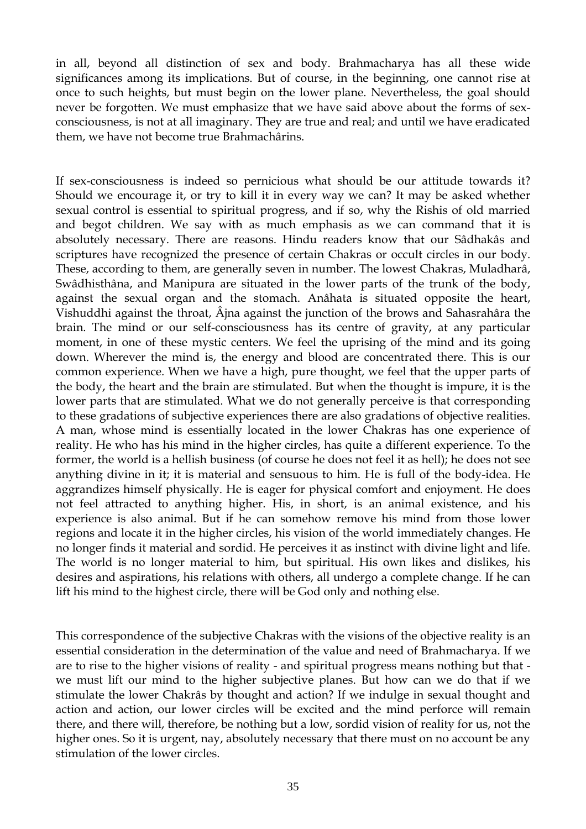in all, beyond all distinction of sex and body. Brahmacharya has all these wide significances among its implications. But of course, in the beginning, one cannot rise at once to such heights, but must begin on the lower plane. Nevertheless, the goal should never be forgotten. We must emphasize that we have said above about the forms of sexconsciousness, is not at all imaginary. They are true and real; and until we have eradicated them, we have not become true Brahmachârins.

If sex-consciousness is indeed so pernicious what should be our attitude towards it? Should we encourage it, or try to kill it in every way we can? It may be asked whether sexual control is essential to spiritual progress, and if so, why the Rishis of old married and begot children. We say with as much emphasis as we can command that it is absolutely necessary. There are reasons. Hindu readers know that our Sâdhakâs and scriptures have recognized the presence of certain Chakras or occult circles in our body. These, according to them, are generally seven in number. The lowest Chakras, Muladharâ, Swâdhisthâna, and Manipura are situated in the lower parts of the trunk of the body, against the sexual organ and the stomach. Anâhata is situated opposite the heart, Vishuddhi against the throat, Âjna against the junction of the brows and Sahasrahâra the brain. The mind or our self-consciousness has its centre of gravity, at any particular moment, in one of these mystic centers. We feel the uprising of the mind and its going down. Wherever the mind is, the energy and blood are concentrated there. This is our common experience. When we have a high, pure thought, we feel that the upper parts of the body, the heart and the brain are stimulated. But when the thought is impure, it is the lower parts that are stimulated. What we do not generally perceive is that corresponding to these gradations of subjective experiences there are also gradations of objective realities. A man, whose mind is essentially located in the lower Chakras has one experience of reality. He who has his mind in the higher circles, has quite a different experience. To the former, the world is a hellish business (of course he does not feel it as hell); he does not see anything divine in it; it is material and sensuous to him. He is full of the body-idea. He aggrandizes himself physically. He is eager for physical comfort and enjoyment. He does not feel attracted to anything higher. His, in short, is an animal existence, and his experience is also animal. But if he can somehow remove his mind from those lower regions and locate it in the higher circles, his vision of the world immediately changes. He no longer finds it material and sordid. He perceives it as instinct with divine light and life. The world is no longer material to him, but spiritual. His own likes and dislikes, his desires and aspirations, his relations with others, all undergo a complete change. If he can lift his mind to the highest circle, there will be God only and nothing else.

This correspondence of the subjective Chakras with the visions of the objective reality is an essential consideration in the determination of the value and need of Brahmacharya. If we are to rise to the higher visions of reality - and spiritual progress means nothing but that we must lift our mind to the higher subjective planes. But how can we do that if we stimulate the lower Chakrâs by thought and action? If we indulge in sexual thought and action and action, our lower circles will be excited and the mind perforce will remain there, and there will, therefore, be nothing but a low, sordid vision of reality for us, not the higher ones. So it is urgent, nay, absolutely necessary that there must on no account be any stimulation of the lower circles.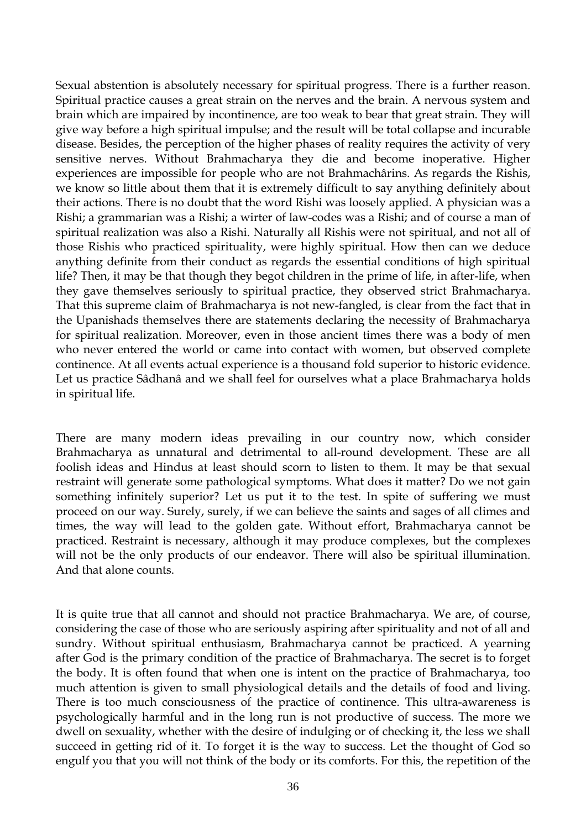Sexual abstention is absolutely necessary for spiritual progress. There is a further reason. Spiritual practice causes a great strain on the nerves and the brain. A nervous system and brain which are impaired by incontinence, are too weak to bear that great strain. They will give way before a high spiritual impulse; and the result will be total collapse and incurable disease. Besides, the perception of the higher phases of reality requires the activity of very sensitive nerves. Without Brahmacharya they die and become inoperative. Higher experiences are impossible for people who are not Brahmachârins. As regards the Rishis, we know so little about them that it is extremely difficult to say anything definitely about their actions. There is no doubt that the word Rishi was loosely applied. A physician was a Rishi; a grammarian was a Rishi; a wirter of law-codes was a Rishi; and of course a man of spiritual realization was also a Rishi. Naturally all Rishis were not spiritual, and not all of those Rishis who practiced spirituality, were highly spiritual. How then can we deduce anything definite from their conduct as regards the essential conditions of high spiritual life? Then, it may be that though they begot children in the prime of life, in after-life, when they gave themselves seriously to spiritual practice, they observed strict Brahmacharya. That this supreme claim of Brahmacharya is not new-fangled, is clear from the fact that in the Upanishads themselves there are statements declaring the necessity of Brahmacharya for spiritual realization. Moreover, even in those ancient times there was a body of men who never entered the world or came into contact with women, but observed complete continence. At all events actual experience is a thousand fold superior to historic evidence. Let us practice Sâdhanâ and we shall feel for ourselves what a place Brahmacharya holds in spiritual life.

There are many modern ideas prevailing in our country now, which consider Brahmacharya as unnatural and detrimental to all-round development. These are all foolish ideas and Hindus at least should scorn to listen to them. It may be that sexual restraint will generate some pathological symptoms. What does it matter? Do we not gain something infinitely superior? Let us put it to the test. In spite of suffering we must proceed on our way. Surely, surely, if we can believe the saints and sages of all climes and times, the way will lead to the golden gate. Without effort, Brahmacharya cannot be practiced. Restraint is necessary, although it may produce complexes, but the complexes will not be the only products of our endeavor. There will also be spiritual illumination. And that alone counts.

It is quite true that all cannot and should not practice Brahmacharya. We are, of course, considering the case of those who are seriously aspiring after spirituality and not of all and sundry. Without spiritual enthusiasm, Brahmacharya cannot be practiced. A yearning after God is the primary condition of the practice of Brahmacharya. The secret is to forget the body. It is often found that when one is intent on the practice of Brahmacharya, too much attention is given to small physiological details and the details of food and living. There is too much consciousness of the practice of continence. This ultra-awareness is psychologically harmful and in the long run is not productive of success. The more we dwell on sexuality, whether with the desire of indulging or of checking it, the less we shall succeed in getting rid of it. To forget it is the way to success. Let the thought of God so engulf you that you will not think of the body or its comforts. For this, the repetition of the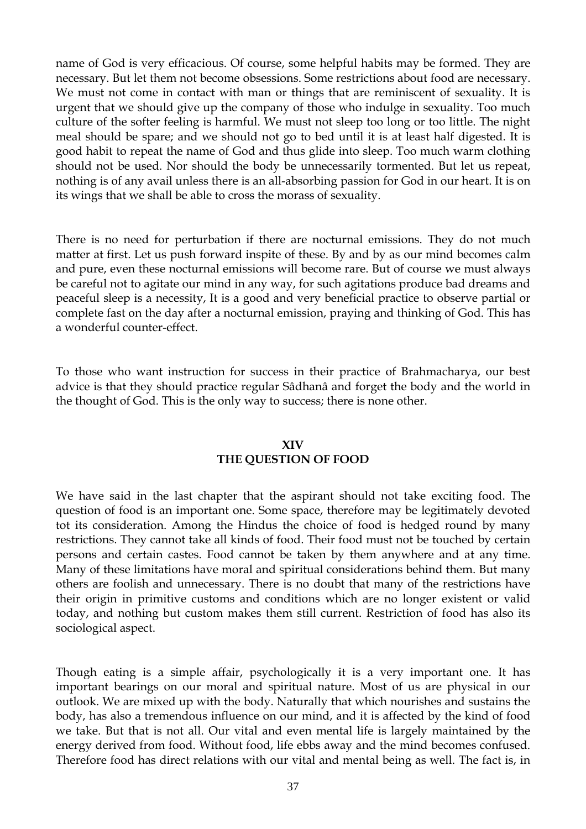name of God is very efficacious. Of course, some helpful habits may be formed. They are necessary. But let them not become obsessions. Some restrictions about food are necessary. We must not come in contact with man or things that are reminiscent of sexuality. It is urgent that we should give up the company of those who indulge in sexuality. Too much culture of the softer feeling is harmful. We must not sleep too long or too little. The night meal should be spare; and we should not go to bed until it is at least half digested. It is good habit to repeat the name of God and thus glide into sleep. Too much warm clothing should not be used. Nor should the body be unnecessarily tormented. But let us repeat, nothing is of any avail unless there is an all-absorbing passion for God in our heart. It is on its wings that we shall be able to cross the morass of sexuality.

There is no need for perturbation if there are nocturnal emissions. They do not much matter at first. Let us push forward inspite of these. By and by as our mind becomes calm and pure, even these nocturnal emissions will become rare. But of course we must always be careful not to agitate our mind in any way, for such agitations produce bad dreams and peaceful sleep is a necessity, It is a good and very beneficial practice to observe partial or complete fast on the day after a nocturnal emission, praying and thinking of God. This has a wonderful counter-effect.

To those who want instruction for success in their practice of Brahmacharya, our best advice is that they should practice regular Sâdhanâ and forget the body and the world in the thought of God. This is the only way to success; there is none other.

#### **XIV**

# **THE QUESTION OF FOOD**

We have said in the last chapter that the aspirant should not take exciting food. The question of food is an important one. Some space, therefore may be legitimately devoted tot its consideration. Among the Hindus the choice of food is hedged round by many restrictions. They cannot take all kinds of food. Their food must not be touched by certain persons and certain castes. Food cannot be taken by them anywhere and at any time. Many of these limitations have moral and spiritual considerations behind them. But many others are foolish and unnecessary. There is no doubt that many of the restrictions have their origin in primitive customs and conditions which are no longer existent or valid today, and nothing but custom makes them still current. Restriction of food has also its sociological aspect.

Though eating is a simple affair, psychologically it is a very important one. It has important bearings on our moral and spiritual nature. Most of us are physical in our outlook. We are mixed up with the body. Naturally that which nourishes and sustains the body, has also a tremendous influence on our mind, and it is affected by the kind of food we take. But that is not all. Our vital and even mental life is largely maintained by the energy derived from food. Without food, life ebbs away and the mind becomes confused. Therefore food has direct relations with our vital and mental being as well. The fact is, in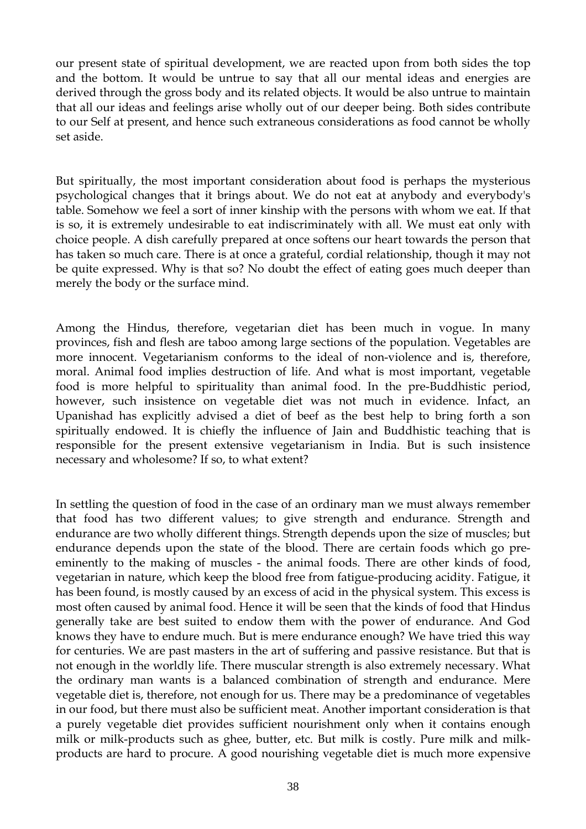our present state of spiritual development, we are reacted upon from both sides the top and the bottom. It would be untrue to say that all our mental ideas and energies are derived through the gross body and its related objects. It would be also untrue to maintain that all our ideas and feelings arise wholly out of our deeper being. Both sides contribute to our Self at present, and hence such extraneous considerations as food cannot be wholly set aside.

But spiritually, the most important consideration about food is perhaps the mysterious psychological changes that it brings about. We do not eat at anybody and everybody's table. Somehow we feel a sort of inner kinship with the persons with whom we eat. If that is so, it is extremely undesirable to eat indiscriminately with all. We must eat only with choice people. A dish carefully prepared at once softens our heart towards the person that has taken so much care. There is at once a grateful, cordial relationship, though it may not be quite expressed. Why is that so? No doubt the effect of eating goes much deeper than merely the body or the surface mind.

Among the Hindus, therefore, vegetarian diet has been much in vogue. In many provinces, fish and flesh are taboo among large sections of the population. Vegetables are more innocent. Vegetarianism conforms to the ideal of non-violence and is, therefore, moral. Animal food implies destruction of life. And what is most important, vegetable food is more helpful to spirituality than animal food. In the pre-Buddhistic period, however, such insistence on vegetable diet was not much in evidence. Infact, an Upanishad has explicitly advised a diet of beef as the best help to bring forth a son spiritually endowed. It is chiefly the influence of Jain and Buddhistic teaching that is responsible for the present extensive vegetarianism in India. But is such insistence necessary and wholesome? If so, to what extent?

In settling the question of food in the case of an ordinary man we must always remember that food has two different values; to give strength and endurance. Strength and endurance are two wholly different things. Strength depends upon the size of muscles; but endurance depends upon the state of the blood. There are certain foods which go preeminently to the making of muscles - the animal foods. There are other kinds of food, vegetarian in nature, which keep the blood free from fatigue-producing acidity. Fatigue, it has been found, is mostly caused by an excess of acid in the physical system. This excess is most often caused by animal food. Hence it will be seen that the kinds of food that Hindus generally take are best suited to endow them with the power of endurance. And God knows they have to endure much. But is mere endurance enough? We have tried this way for centuries. We are past masters in the art of suffering and passive resistance. But that is not enough in the worldly life. There muscular strength is also extremely necessary. What the ordinary man wants is a balanced combination of strength and endurance. Mere vegetable diet is, therefore, not enough for us. There may be a predominance of vegetables in our food, but there must also be sufficient meat. Another important consideration is that a purely vegetable diet provides sufficient nourishment only when it contains enough milk or milk-products such as ghee, butter, etc. But milk is costly. Pure milk and milkproducts are hard to procure. A good nourishing vegetable diet is much more expensive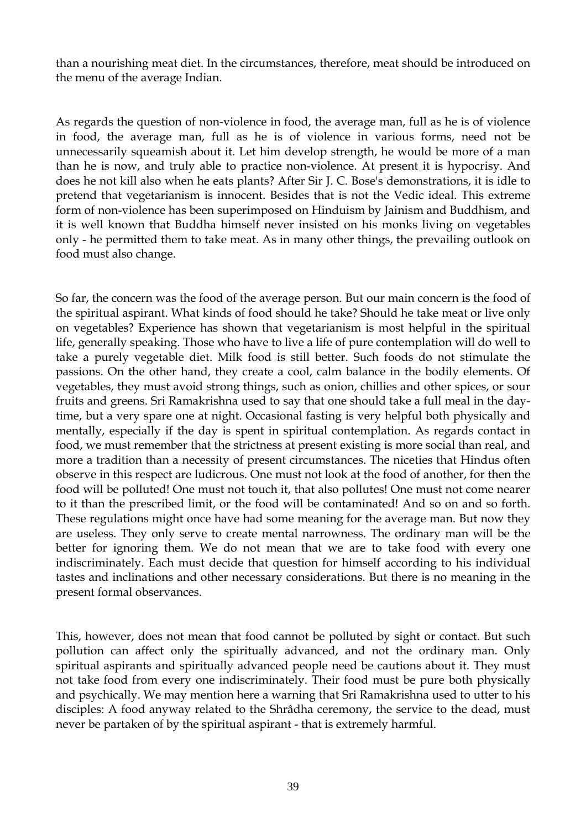than a nourishing meat diet. In the circumstances, therefore, meat should be introduced on the menu of the average Indian.

As regards the question of non-violence in food, the average man, full as he is of violence in food, the average man, full as he is of violence in various forms, need not be unnecessarily squeamish about it. Let him develop strength, he would be more of a man than he is now, and truly able to practice non-violence. At present it is hypocrisy. And does he not kill also when he eats plants? After Sir J. C. Bose's demonstrations, it is idle to pretend that vegetarianism is innocent. Besides that is not the Vedic ideal. This extreme form of non-violence has been superimposed on Hinduism by Jainism and Buddhism, and it is well known that Buddha himself never insisted on his monks living on vegetables only - he permitted them to take meat. As in many other things, the prevailing outlook on food must also change.

So far, the concern was the food of the average person. But our main concern is the food of the spiritual aspirant. What kinds of food should he take? Should he take meat or live only on vegetables? Experience has shown that vegetarianism is most helpful in the spiritual life, generally speaking. Those who have to live a life of pure contemplation will do well to take a purely vegetable diet. Milk food is still better. Such foods do not stimulate the passions. On the other hand, they create a cool, calm balance in the bodily elements. Of vegetables, they must avoid strong things, such as onion, chillies and other spices, or sour fruits and greens. Sri Ramakrishna used to say that one should take a full meal in the daytime, but a very spare one at night. Occasional fasting is very helpful both physically and mentally, especially if the day is spent in spiritual contemplation. As regards contact in food, we must remember that the strictness at present existing is more social than real, and more a tradition than a necessity of present circumstances. The niceties that Hindus often observe in this respect are ludicrous. One must not look at the food of another, for then the food will be polluted! One must not touch it, that also pollutes! One must not come nearer to it than the prescribed limit, or the food will be contaminated! And so on and so forth. These regulations might once have had some meaning for the average man. But now they are useless. They only serve to create mental narrowness. The ordinary man will be the better for ignoring them. We do not mean that we are to take food with every one indiscriminately. Each must decide that question for himself according to his individual tastes and inclinations and other necessary considerations. But there is no meaning in the present formal observances.

This, however, does not mean that food cannot be polluted by sight or contact. But such pollution can affect only the spiritually advanced, and not the ordinary man. Only spiritual aspirants and spiritually advanced people need be cautions about it. They must not take food from every one indiscriminately. Their food must be pure both physically and psychically. We may mention here a warning that Sri Ramakrishna used to utter to his disciples: A food anyway related to the Shrâdha ceremony, the service to the dead, must never be partaken of by the spiritual aspirant - that is extremely harmful.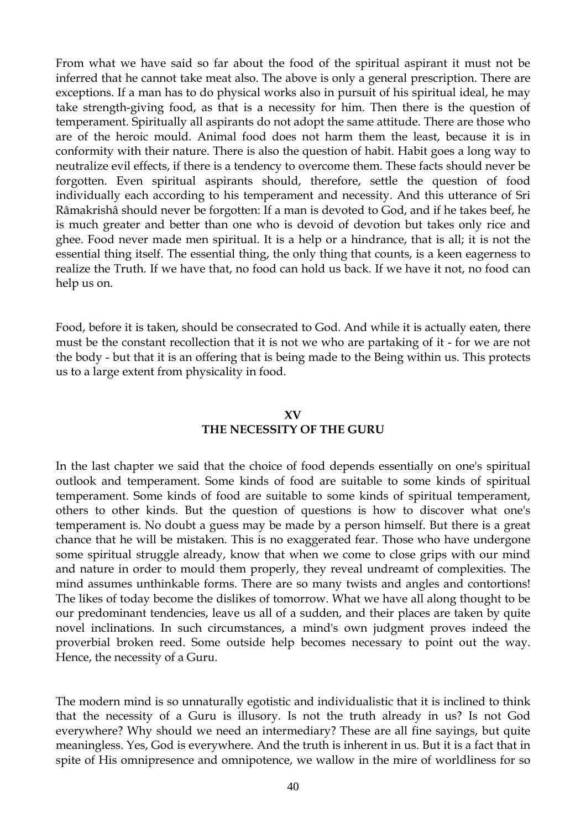From what we have said so far about the food of the spiritual aspirant it must not be inferred that he cannot take meat also. The above is only a general prescription. There are exceptions. If a man has to do physical works also in pursuit of his spiritual ideal, he may take strength-giving food, as that is a necessity for him. Then there is the question of temperament. Spiritually all aspirants do not adopt the same attitude. There are those who are of the heroic mould. Animal food does not harm them the least, because it is in conformity with their nature. There is also the question of habit. Habit goes a long way to neutralize evil effects, if there is a tendency to overcome them. These facts should never be forgotten. Even spiritual aspirants should, therefore, settle the question of food individually each according to his temperament and necessity. And this utterance of Sri Râmakrishâ should never be forgotten: If a man is devoted to God, and if he takes beef, he is much greater and better than one who is devoid of devotion but takes only rice and ghee. Food never made men spiritual. It is a help or a hindrance, that is all; it is not the essential thing itself. The essential thing, the only thing that counts, is a keen eagerness to realize the Truth. If we have that, no food can hold us back. If we have it not, no food can help us on.

Food, before it is taken, should be consecrated to God. And while it is actually eaten, there must be the constant recollection that it is not we who are partaking of it - for we are not the body - but that it is an offering that is being made to the Being within us. This protects us to a large extent from physicality in food.

#### **XV**

### **THE NECESSITY OF THE GURU**

In the last chapter we said that the choice of food depends essentially on one's spiritual outlook and temperament. Some kinds of food are suitable to some kinds of spiritual temperament. Some kinds of food are suitable to some kinds of spiritual temperament, others to other kinds. But the question of questions is how to discover what one's temperament is. No doubt a guess may be made by a person himself. But there is a great chance that he will be mistaken. This is no exaggerated fear. Those who have undergone some spiritual struggle already, know that when we come to close grips with our mind and nature in order to mould them properly, they reveal undreamt of complexities. The mind assumes unthinkable forms. There are so many twists and angles and contortions! The likes of today become the dislikes of tomorrow. What we have all along thought to be our predominant tendencies, leave us all of a sudden, and their places are taken by quite novel inclinations. In such circumstances, a mind's own judgment proves indeed the proverbial broken reed. Some outside help becomes necessary to point out the way. Hence, the necessity of a Guru.

The modern mind is so unnaturally egotistic and individualistic that it is inclined to think that the necessity of a Guru is illusory. Is not the truth already in us? Is not God everywhere? Why should we need an intermediary? These are all fine sayings, but quite meaningless. Yes, God is everywhere. And the truth is inherent in us. But it is a fact that in spite of His omnipresence and omnipotence, we wallow in the mire of worldliness for so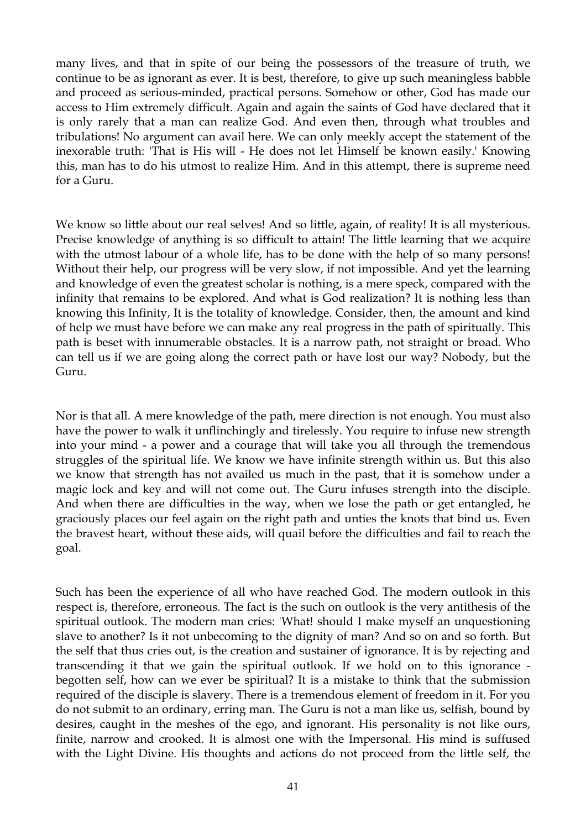many lives, and that in spite of our being the possessors of the treasure of truth, we continue to be as ignorant as ever. It is best, therefore, to give up such meaningless babble and proceed as serious-minded, practical persons. Somehow or other, God has made our access to Him extremely difficult. Again and again the saints of God have declared that it is only rarely that a man can realize God. And even then, through what troubles and tribulations! No argument can avail here. We can only meekly accept the statement of the inexorable truth: 'That is His will - He does not let Himself be known easily.' Knowing this, man has to do his utmost to realize Him. And in this attempt, there is supreme need for a Guru.

We know so little about our real selves! And so little, again, of reality! It is all mysterious. Precise knowledge of anything is so difficult to attain! The little learning that we acquire with the utmost labour of a whole life, has to be done with the help of so many persons! Without their help, our progress will be very slow, if not impossible. And yet the learning and knowledge of even the greatest scholar is nothing, is a mere speck, compared with the infinity that remains to be explored. And what is God realization? It is nothing less than knowing this Infinity, It is the totality of knowledge. Consider, then, the amount and kind of help we must have before we can make any real progress in the path of spiritually. This path is beset with innumerable obstacles. It is a narrow path, not straight or broad. Who can tell us if we are going along the correct path or have lost our way? Nobody, but the Guru.

Nor is that all. A mere knowledge of the path, mere direction is not enough. You must also have the power to walk it unflinchingly and tirelessly. You require to infuse new strength into your mind - a power and a courage that will take you all through the tremendous struggles of the spiritual life. We know we have infinite strength within us. But this also we know that strength has not availed us much in the past, that it is somehow under a magic lock and key and will not come out. The Guru infuses strength into the disciple. And when there are difficulties in the way, when we lose the path or get entangled, he graciously places our feel again on the right path and unties the knots that bind us. Even the bravest heart, without these aids, will quail before the difficulties and fail to reach the goal.

Such has been the experience of all who have reached God. The modern outlook in this respect is, therefore, erroneous. The fact is the such on outlook is the very antithesis of the spiritual outlook. The modern man cries: 'What! should I make myself an unquestioning slave to another? Is it not unbecoming to the dignity of man? And so on and so forth. But the self that thus cries out, is the creation and sustainer of ignorance. It is by rejecting and transcending it that we gain the spiritual outlook. If we hold on to this ignorance begotten self, how can we ever be spiritual? It is a mistake to think that the submission required of the disciple is slavery. There is a tremendous element of freedom in it. For you do not submit to an ordinary, erring man. The Guru is not a man like us, selfish, bound by desires, caught in the meshes of the ego, and ignorant. His personality is not like ours, finite, narrow and crooked. It is almost one with the Impersonal. His mind is suffused with the Light Divine. His thoughts and actions do not proceed from the little self, the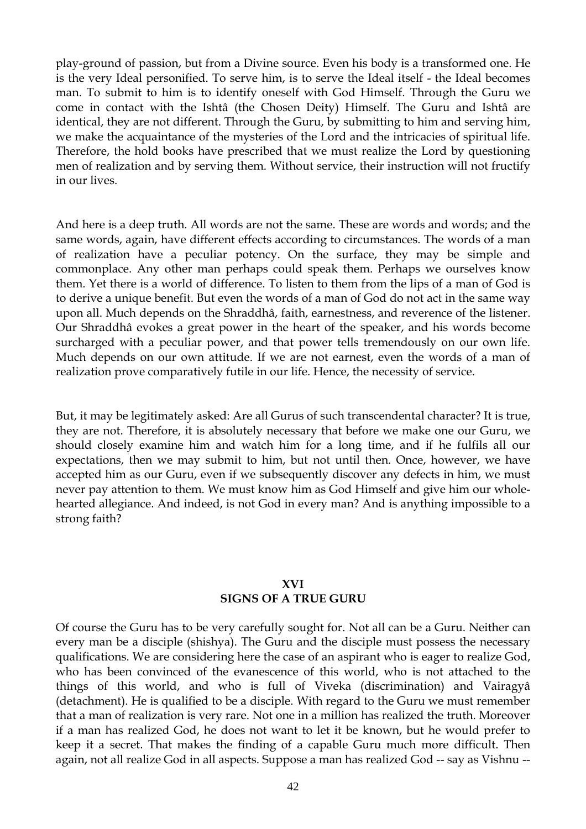play-ground of passion, but from a Divine source. Even his body is a transformed one. He is the very Ideal personified. To serve him, is to serve the Ideal itself - the Ideal becomes man. To submit to him is to identify oneself with God Himself. Through the Guru we come in contact with the Ishtâ (the Chosen Deity) Himself. The Guru and Ishtâ are identical, they are not different. Through the Guru, by submitting to him and serving him, we make the acquaintance of the mysteries of the Lord and the intricacies of spiritual life. Therefore, the hold books have prescribed that we must realize the Lord by questioning men of realization and by serving them. Without service, their instruction will not fructify in our lives.

And here is a deep truth. All words are not the same. These are words and words; and the same words, again, have different effects according to circumstances. The words of a man of realization have a peculiar potency. On the surface, they may be simple and commonplace. Any other man perhaps could speak them. Perhaps we ourselves know them. Yet there is a world of difference. To listen to them from the lips of a man of God is to derive a unique benefit. But even the words of a man of God do not act in the same way upon all. Much depends on the Shraddhâ, faith, earnestness, and reverence of the listener. Our Shraddhâ evokes a great power in the heart of the speaker, and his words become surcharged with a peculiar power, and that power tells tremendously on our own life. Much depends on our own attitude. If we are not earnest, even the words of a man of realization prove comparatively futile in our life. Hence, the necessity of service.

But, it may be legitimately asked: Are all Gurus of such transcendental character? It is true, they are not. Therefore, it is absolutely necessary that before we make one our Guru, we should closely examine him and watch him for a long time, and if he fulfils all our expectations, then we may submit to him, but not until then. Once, however, we have accepted him as our Guru, even if we subsequently discover any defects in him, we must never pay attention to them. We must know him as God Himself and give him our wholehearted allegiance. And indeed, is not God in every man? And is anything impossible to a strong faith?

### **XVI SIGNS OF A TRUE GURU**

Of course the Guru has to be very carefully sought for. Not all can be a Guru. Neither can every man be a disciple (shishya). The Guru and the disciple must possess the necessary qualifications. We are considering here the case of an aspirant who is eager to realize God, who has been convinced of the evanescence of this world, who is not attached to the things of this world, and who is full of Viveka (discrimination) and Vairagyâ (detachment). He is qualified to be a disciple. With regard to the Guru we must remember that a man of realization is very rare. Not one in a million has realized the truth. Moreover if a man has realized God, he does not want to let it be known, but he would prefer to keep it a secret. That makes the finding of a capable Guru much more difficult. Then again, not all realize God in all aspects. Suppose a man has realized God -- say as Vishnu --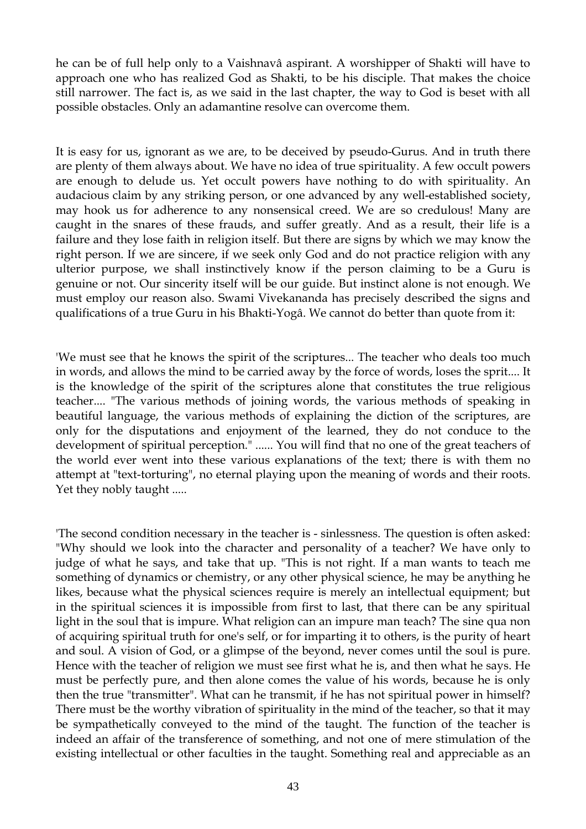he can be of full help only to a Vaishnavâ aspirant. A worshipper of Shakti will have to approach one who has realized God as Shakti, to be his disciple. That makes the choice still narrower. The fact is, as we said in the last chapter, the way to God is beset with all possible obstacles. Only an adamantine resolve can overcome them.

It is easy for us, ignorant as we are, to be deceived by pseudo-Gurus. And in truth there are plenty of them always about. We have no idea of true spirituality. A few occult powers are enough to delude us. Yet occult powers have nothing to do with spirituality. An audacious claim by any striking person, or one advanced by any well-established society, may hook us for adherence to any nonsensical creed. We are so credulous! Many are caught in the snares of these frauds, and suffer greatly. And as a result, their life is a failure and they lose faith in religion itself. But there are signs by which we may know the right person. If we are sincere, if we seek only God and do not practice religion with any ulterior purpose, we shall instinctively know if the person claiming to be a Guru is genuine or not. Our sincerity itself will be our guide. But instinct alone is not enough. We must employ our reason also. Swami Vivekananda has precisely described the signs and qualifications of a true Guru in his Bhakti-Yogâ. We cannot do better than quote from it:

'We must see that he knows the spirit of the scriptures... The teacher who deals too much in words, and allows the mind to be carried away by the force of words, loses the sprit.... It is the knowledge of the spirit of the scriptures alone that constitutes the true religious teacher.... "The various methods of joining words, the various methods of speaking in beautiful language, the various methods of explaining the diction of the scriptures, are only for the disputations and enjoyment of the learned, they do not conduce to the development of spiritual perception." ...... You will find that no one of the great teachers of the world ever went into these various explanations of the text; there is with them no attempt at "text-torturing", no eternal playing upon the meaning of words and their roots. Yet they nobly taught .....

'The second condition necessary in the teacher is - sinlessness. The question is often asked: "Why should we look into the character and personality of a teacher? We have only to judge of what he says, and take that up. "This is not right. If a man wants to teach me something of dynamics or chemistry, or any other physical science, he may be anything he likes, because what the physical sciences require is merely an intellectual equipment; but in the spiritual sciences it is impossible from first to last, that there can be any spiritual light in the soul that is impure. What religion can an impure man teach? The sine qua non of acquiring spiritual truth for one's self, or for imparting it to others, is the purity of heart and soul. A vision of God, or a glimpse of the beyond, never comes until the soul is pure. Hence with the teacher of religion we must see first what he is, and then what he says. He must be perfectly pure, and then alone comes the value of his words, because he is only then the true "transmitter". What can he transmit, if he has not spiritual power in himself? There must be the worthy vibration of spirituality in the mind of the teacher, so that it may be sympathetically conveyed to the mind of the taught. The function of the teacher is indeed an affair of the transference of something, and not one of mere stimulation of the existing intellectual or other faculties in the taught. Something real and appreciable as an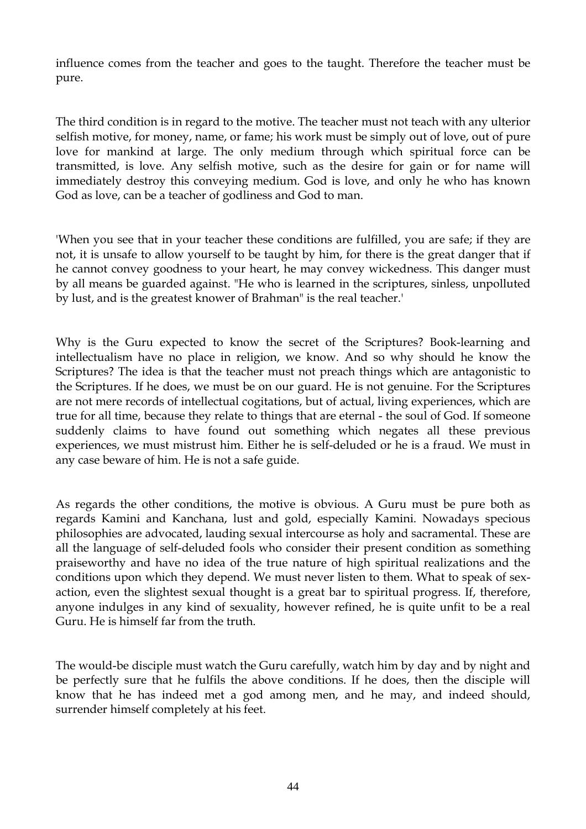influence comes from the teacher and goes to the taught. Therefore the teacher must be pure.

The third condition is in regard to the motive. The teacher must not teach with any ulterior selfish motive, for money, name, or fame; his work must be simply out of love, out of pure love for mankind at large. The only medium through which spiritual force can be transmitted, is love. Any selfish motive, such as the desire for gain or for name will immediately destroy this conveying medium. God is love, and only he who has known God as love, can be a teacher of godliness and God to man.

'When you see that in your teacher these conditions are fulfilled, you are safe; if they are not, it is unsafe to allow yourself to be taught by him, for there is the great danger that if he cannot convey goodness to your heart, he may convey wickedness. This danger must by all means be guarded against. "He who is learned in the scriptures, sinless, unpolluted by lust, and is the greatest knower of Brahman" is the real teacher.'

Why is the Guru expected to know the secret of the Scriptures? Book-learning and intellectualism have no place in religion, we know. And so why should he know the Scriptures? The idea is that the teacher must not preach things which are antagonistic to the Scriptures. If he does, we must be on our guard. He is not genuine. For the Scriptures are not mere records of intellectual cogitations, but of actual, living experiences, which are true for all time, because they relate to things that are eternal - the soul of God. If someone suddenly claims to have found out something which negates all these previous experiences, we must mistrust him. Either he is self-deluded or he is a fraud. We must in any case beware of him. He is not a safe guide.

As regards the other conditions, the motive is obvious. A Guru must be pure both as regards Kamini and Kanchana, lust and gold, especially Kamini. Nowadays specious philosophies are advocated, lauding sexual intercourse as holy and sacramental. These are all the language of self-deluded fools who consider their present condition as something praiseworthy and have no idea of the true nature of high spiritual realizations and the conditions upon which they depend. We must never listen to them. What to speak of sexaction, even the slightest sexual thought is a great bar to spiritual progress. If, therefore, anyone indulges in any kind of sexuality, however refined, he is quite unfit to be a real Guru. He is himself far from the truth.

The would-be disciple must watch the Guru carefully, watch him by day and by night and be perfectly sure that he fulfils the above conditions. If he does, then the disciple will know that he has indeed met a god among men, and he may, and indeed should, surrender himself completely at his feet.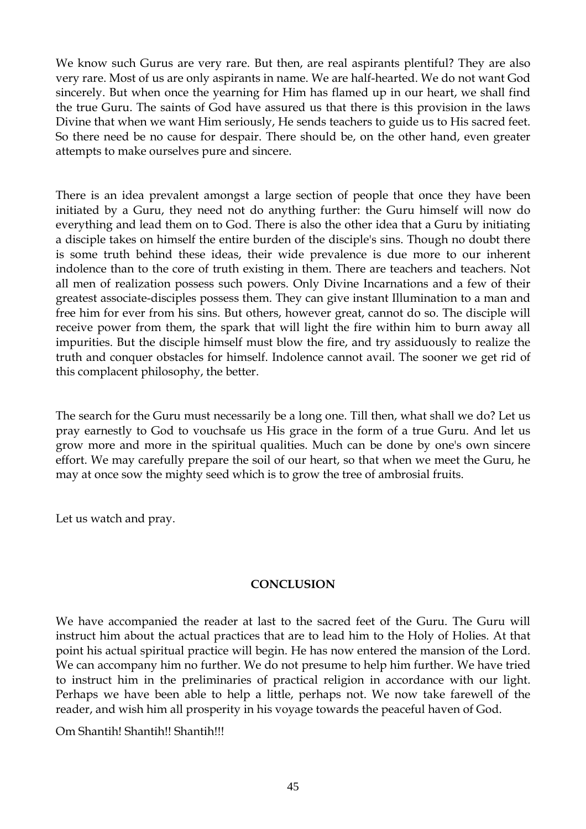We know such Gurus are very rare. But then, are real aspirants plentiful? They are also very rare. Most of us are only aspirants in name. We are half-hearted. We do not want God sincerely. But when once the yearning for Him has flamed up in our heart, we shall find the true Guru. The saints of God have assured us that there is this provision in the laws Divine that when we want Him seriously, He sends teachers to guide us to His sacred feet. So there need be no cause for despair. There should be, on the other hand, even greater attempts to make ourselves pure and sincere.

There is an idea prevalent amongst a large section of people that once they have been initiated by a Guru, they need not do anything further: the Guru himself will now do everything and lead them on to God. There is also the other idea that a Guru by initiating a disciple takes on himself the entire burden of the disciple's sins. Though no doubt there is some truth behind these ideas, their wide prevalence is due more to our inherent indolence than to the core of truth existing in them. There are teachers and teachers. Not all men of realization possess such powers. Only Divine Incarnations and a few of their greatest associate-disciples possess them. They can give instant Illumination to a man and free him for ever from his sins. But others, however great, cannot do so. The disciple will receive power from them, the spark that will light the fire within him to burn away all impurities. But the disciple himself must blow the fire, and try assiduously to realize the truth and conquer obstacles for himself. Indolence cannot avail. The sooner we get rid of this complacent philosophy, the better.

The search for the Guru must necessarily be a long one. Till then, what shall we do? Let us pray earnestly to God to vouchsafe us His grace in the form of a true Guru. And let us grow more and more in the spiritual qualities. Much can be done by one's own sincere effort. We may carefully prepare the soil of our heart, so that when we meet the Guru, he may at once sow the mighty seed which is to grow the tree of ambrosial fruits.

Let us watch and pray.

# **CONCLUSION**

We have accompanied the reader at last to the sacred feet of the Guru. The Guru will instruct him about the actual practices that are to lead him to the Holy of Holies. At that point his actual spiritual practice will begin. He has now entered the mansion of the Lord. We can accompany him no further. We do not presume to help him further. We have tried to instruct him in the preliminaries of practical religion in accordance with our light. Perhaps we have been able to help a little, perhaps not. We now take farewell of the reader, and wish him all prosperity in his voyage towards the peaceful haven of God.

Om Shantih! Shantih!! Shantih!!!